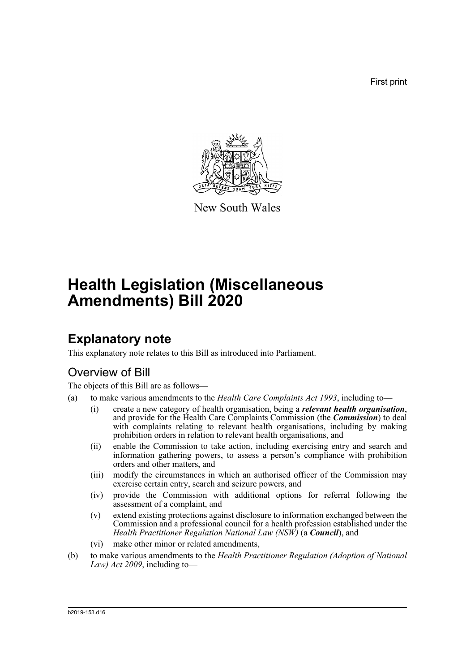First print



New South Wales

# **Health Legislation (Miscellaneous Amendments) Bill 2020**

## **Explanatory note**

This explanatory note relates to this Bill as introduced into Parliament.

## Overview of Bill

The objects of this Bill are as follows—

- (a) to make various amendments to the *Health Care Complaints Act 1993*, including to—
	- (i) create a new category of health organisation, being a *relevant health organisation*, and provide for the Health Care Complaints Commission (the *Commission*) to deal with complaints relating to relevant health organisations, including by making prohibition orders in relation to relevant health organisations, and
	- (ii) enable the Commission to take action, including exercising entry and search and information gathering powers, to assess a person's compliance with prohibition orders and other matters, and
	- (iii) modify the circumstances in which an authorised officer of the Commission may exercise certain entry, search and seizure powers, and
	- (iv) provide the Commission with additional options for referral following the assessment of a complaint, and
	- (v) extend existing protections against disclosure to information exchanged between the Commission and a professional council for a health profession established under the *Health Practitioner Regulation National Law (NSW)* (a *Council*), and
	- (vi) make other minor or related amendments,
- (b) to make various amendments to the *Health Practitioner Regulation (Adoption of National Law) Act 2009*, including to—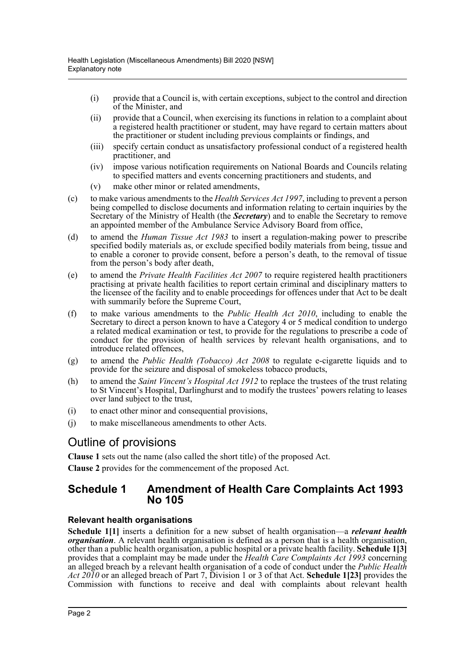- (i) provide that a Council is, with certain exceptions, subject to the control and direction of the Minister, and
- (ii) provide that a Council, when exercising its functions in relation to a complaint about a registered health practitioner or student, may have regard to certain matters about the practitioner or student including previous complaints or findings, and
- (iii) specify certain conduct as unsatisfactory professional conduct of a registered health practitioner, and
- (iv) impose various notification requirements on National Boards and Councils relating to specified matters and events concerning practitioners and students, and
- (v) make other minor or related amendments,
- (c) to make various amendments to the *Health Services Act 1997*, including to prevent a person being compelled to disclose documents and information relating to certain inquiries by the Secretary of the Ministry of Health (the *Secretary*) and to enable the Secretary to remove an appointed member of the Ambulance Service Advisory Board from office,
- (d) to amend the *Human Tissue Act 1983* to insert a regulation-making power to prescribe specified bodily materials as, or exclude specified bodily materials from being, tissue and to enable a coroner to provide consent, before a person's death, to the removal of tissue from the person's body after death,
- (e) to amend the *Private Health Facilities Act 2007* to require registered health practitioners practising at private health facilities to report certain criminal and disciplinary matters to the licensee of the facility and to enable proceedings for offences under that Act to be dealt with summarily before the Supreme Court,
- (f) to make various amendments to the *Public Health Act 2010*, including to enable the Secretary to direct a person known to have a Category 4 or 5 medical condition to undergo a related medical examination or test, to provide for the regulations to prescribe a code of conduct for the provision of health services by relevant health organisations, and to introduce related offences,
- (g) to amend the *Public Health (Tobacco) Act 2008* to regulate e-cigarette liquids and to provide for the seizure and disposal of smokeless tobacco products,
- (h) to amend the *Saint Vincent's Hospital Act 1912* to replace the trustees of the trust relating to St Vincent's Hospital, Darlinghurst and to modify the trustees' powers relating to leases over land subject to the trust,
- (i) to enact other minor and consequential provisions,
- (j) to make miscellaneous amendments to other Acts.

## Outline of provisions

**Clause 1** sets out the name (also called the short title) of the proposed Act.

**Clause 2** provides for the commencement of the proposed Act.

## **Schedule 1 Amendment of Health Care Complaints Act 1993 No 105**

#### **Relevant health organisations**

**Schedule 1[1]** inserts a definition for a new subset of health organisation—a *relevant health organisation*. A relevant health organisation is defined as a person that is a health organisation, other than a public health organisation, a public hospital or a private health facility. **Schedule 1[3]** provides that a complaint may be made under the *Health Care Complaints Act 1993* concerning an alleged breach by a relevant health organisation of a code of conduct under the *Public Health Act 2010* or an alleged breach of Part 7, Division 1 or 3 of that Act. **Schedule 1[23]** provides the Commission with functions to receive and deal with complaints about relevant health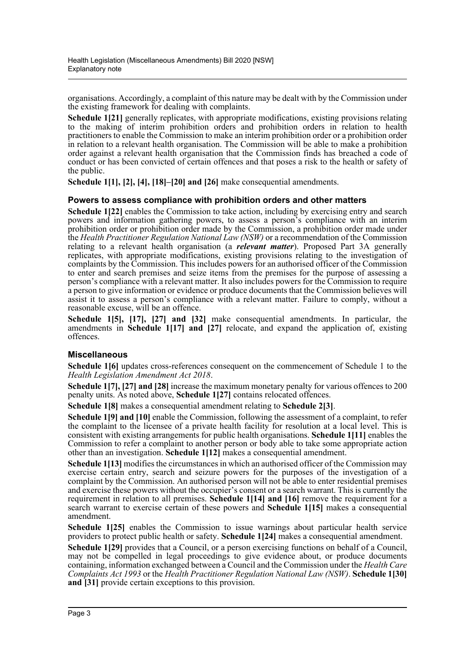organisations. Accordingly, a complaint of this nature may be dealt with by the Commission under the existing framework for dealing with complaints.

**Schedule 1[21]** generally replicates, with appropriate modifications, existing provisions relating to the making of interim prohibition orders and prohibition orders in relation to health practitioners to enable the Commission to make an interim prohibition order or a prohibition order in relation to a relevant health organisation. The Commission will be able to make a prohibition order against a relevant health organisation that the Commission finds has breached a code of conduct or has been convicted of certain offences and that poses a risk to the health or safety of the public.

**Schedule 1[1], [2], [4], [18]–[20] and [26]** make consequential amendments.

#### **Powers to assess compliance with prohibition orders and other matters**

**Schedule 1[22]** enables the Commission to take action, including by exercising entry and search powers and information gathering powers, to assess a person's compliance with an interim prohibition order or prohibition order made by the Commission, a prohibition order made under the *Health Practitioner Regulation National Law (NSW)* or a recommendation of the Commission relating to a relevant health organisation (a *relevant matter*). Proposed Part 3A generally replicates, with appropriate modifications, existing provisions relating to the investigation of complaints by the Commission. This includes powers for an authorised officer of the Commission to enter and search premises and seize items from the premises for the purpose of assessing a person's compliance with a relevant matter. It also includes powers for the Commission to require a person to give information or evidence or produce documents that the Commission believes will assist it to assess a person's compliance with a relevant matter. Failure to comply, without a reasonable excuse, will be an offence.

**Schedule 1[5], [17], [27] and [32]** make consequential amendments. In particular, the amendments in **Schedule 1[17] and [27]** relocate, and expand the application of, existing offences.

#### **Miscellaneous**

**Schedule 1[6]** updates cross-references consequent on the commencement of Schedule 1 to the *Health Legislation Amendment Act 2018*.

**Schedule 1[7], [27] and [28]** increase the maximum monetary penalty for various offences to 200 penalty units. As noted above, **Schedule 1[27]** contains relocated offences.

**Schedule 1[8]** makes a consequential amendment relating to **Schedule 2[3]**.

**Schedule 1[9] and [10]** enable the Commission, following the assessment of a complaint, to refer the complaint to the licensee of a private health facility for resolution at a local level. This is consistent with existing arrangements for public health organisations. **Schedule 1[11]** enables the Commission to refer a complaint to another person or body able to take some appropriate action other than an investigation. **Schedule 1[12]** makes a consequential amendment.

**Schedule 1[13]** modifies the circumstances in which an authorised officer of the Commission may exercise certain entry, search and seizure powers for the purposes of the investigation of a complaint by the Commission. An authorised person will not be able to enter residential premises and exercise these powers without the occupier's consent or a search warrant. This is currently the requirement in relation to all premises. **Schedule 1[14] and [16]** remove the requirement for a search warrant to exercise certain of these powers and **Schedule 1[15]** makes a consequential amendment.

**Schedule 1[25]** enables the Commission to issue warnings about particular health service providers to protect public health or safety. **Schedule 1[24]** makes a consequential amendment.

**Schedule 1[29]** provides that a Council, or a person exercising functions on behalf of a Council, may not be compelled in legal proceedings to give evidence about, or produce documents containing, information exchanged between a Council and the Commission under the *Health Care Complaints Act 1993* or the *Health Practitioner Regulation National Law (NSW)*. **Schedule 1[30] and [31]** provide certain exceptions to this provision.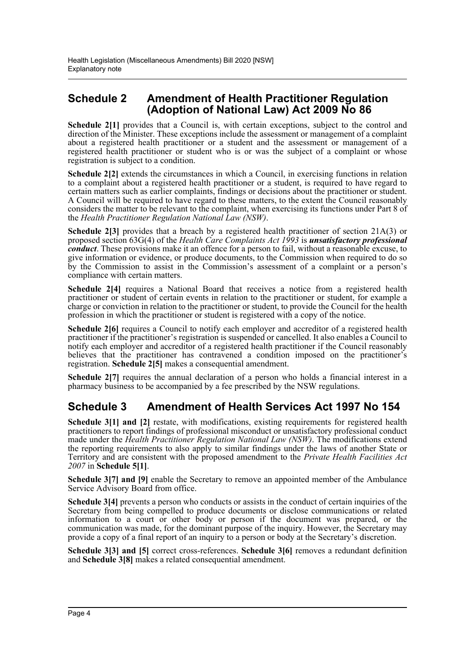## **Schedule 2 Amendment of Health Practitioner Regulation (Adoption of National Law) Act 2009 No 86**

**Schedule 2[1]** provides that a Council is, with certain exceptions, subject to the control and direction of the Minister. These exceptions include the assessment or management of a complaint about a registered health practitioner or a student and the assessment or management of a registered health practitioner or student who is or was the subject of a complaint or whose registration is subject to a condition.

**Schedule 2[2]** extends the circumstances in which a Council, in exercising functions in relation to a complaint about a registered health practitioner or a student, is required to have regard to certain matters such as earlier complaints, findings or decisions about the practitioner or student. A Council will be required to have regard to these matters, to the extent the Council reasonably considers the matter to be relevant to the complaint, when exercising its functions under Part 8 of the *Health Practitioner Regulation National Law (NSW)*.

**Schedule 2[3]** provides that a breach by a registered health practitioner of section 21A(3) or proposed section 63G(4) of the *Health Care Complaints Act 1993* is *unsatisfactory professional conduct*. These provisions make it an offence for a person to fail, without a reasonable excuse, to give information or evidence, or produce documents, to the Commission when required to do so by the Commission to assist in the Commission's assessment of a complaint or a person's compliance with certain matters.

**Schedule 2[4]** requires a National Board that receives a notice from a registered health practitioner or student of certain events in relation to the practitioner or student, for example a charge or conviction in relation to the practitioner or student, to provide the Council for the health profession in which the practitioner or student is registered with a copy of the notice.

**Schedule 2[6]** requires a Council to notify each employer and accreditor of a registered health practitioner if the practitioner's registration is suspended or cancelled. It also enables a Council to notify each employer and accreditor of a registered health practitioner if the Council reasonably believes that the practitioner has contravened a condition imposed on the practitioner's registration. **Schedule 2[5]** makes a consequential amendment.

**Schedule 2[7]** requires the annual declaration of a person who holds a financial interest in a pharmacy business to be accompanied by a fee prescribed by the NSW regulations.

## **Schedule 3 Amendment of Health Services Act 1997 No 154**

**Schedule 3[1] and [2]** restate, with modifications, existing requirements for registered health practitioners to report findings of professional misconduct or unsatisfactory professional conduct made under the *Health Practitioner Regulation National Law (NSW)*. The modifications extend the reporting requirements to also apply to similar findings under the laws of another State or Territory and are consistent with the proposed amendment to the *Private Health Facilities Act 2007* in **Schedule 5[1]**.

**Schedule 3[7] and [9]** enable the Secretary to remove an appointed member of the Ambulance Service Advisory Board from office.

**Schedule 3[4]** prevents a person who conducts or assists in the conduct of certain inquiries of the Secretary from being compelled to produce documents or disclose communications or related information to a court or other body or person if the document was prepared, or the communication was made, for the dominant purpose of the inquiry. However, the Secretary may provide a copy of a final report of an inquiry to a person or body at the Secretary's discretion.

**Schedule 3[3] and [5]** correct cross-references. **Schedule 3[6]** removes a redundant definition and **Schedule 3[8]** makes a related consequential amendment.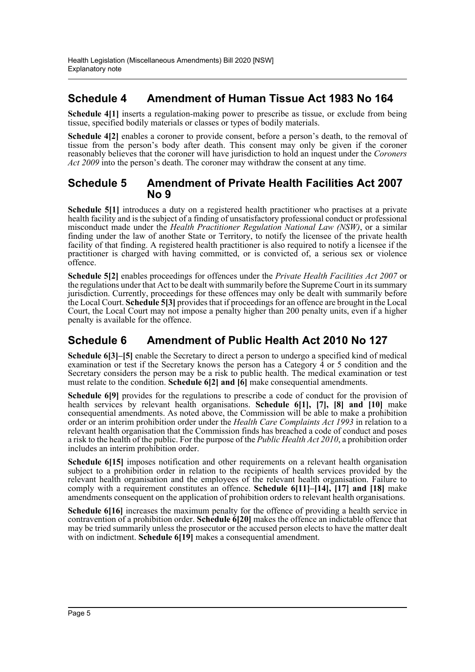## **Schedule 4 Amendment of Human Tissue Act 1983 No 164**

**Schedule 4[1]** inserts a regulation-making power to prescribe as tissue, or exclude from being tissue, specified bodily materials or classes or types of bodily materials.

**Schedule 4[2]** enables a coroner to provide consent, before a person's death, to the removal of tissue from the person's body after death. This consent may only be given if the coroner reasonably believes that the coroner will have jurisdiction to hold an inquest under the *Coroners Act 2009* into the person's death. The coroner may withdraw the consent at any time.

### **Schedule 5 Amendment of Private Health Facilities Act 2007 No 9**

**Schedule 5[1]** introduces a duty on a registered health practitioner who practises at a private health facility and is the subject of a finding of unsatisfactory professional conduct or professional misconduct made under the *Health Practitioner Regulation National Law (NSW)*, or a similar finding under the law of another State or Territory, to notify the licensee of the private health facility of that finding. A registered health practitioner is also required to notify a licensee if the practitioner is charged with having committed, or is convicted of, a serious sex or violence offence.

**Schedule 5[2]** enables proceedings for offences under the *Private Health Facilities Act 2007* or the regulations under that Act to be dealt with summarily before the Supreme Court in its summary jurisdiction. Currently, proceedings for these offences may only be dealt with summarily before the Local Court. **Schedule 5[3]** provides that if proceedings for an offence are brought in the Local Court, the Local Court may not impose a penalty higher than 200 penalty units, even if a higher penalty is available for the offence.

## **Schedule 6 Amendment of Public Health Act 2010 No 127**

**Schedule 6[3]–[5]** enable the Secretary to direct a person to undergo a specified kind of medical examination or test if the Secretary knows the person has a Category  $\hat{4}$  or 5 condition and the Secretary considers the person may be a risk to public health. The medical examination or test must relate to the condition. **Schedule 6[2] and [6]** make consequential amendments.

**Schedule 6[9]** provides for the regulations to prescribe a code of conduct for the provision of health services by relevant health organisations. **Schedule 6[1], [7], [8] and [10]** make consequential amendments. As noted above, the Commission will be able to make a prohibition order or an interim prohibition order under the *Health Care Complaints Act 1993* in relation to a relevant health organisation that the Commission finds has breached a code of conduct and poses a risk to the health of the public. For the purpose of the *Public Health Act 2010*, a prohibition order includes an interim prohibition order.

**Schedule 6[15]** imposes notification and other requirements on a relevant health organisation subject to a prohibition order in relation to the recipients of health services provided by the relevant health organisation and the employees of the relevant health organisation. Failure to comply with a requirement constitutes an offence. **Schedule 6[11]–[14], [17] and [18]** make amendments consequent on the application of prohibition orders to relevant health organisations.

**Schedule 6[16]** increases the maximum penalty for the offence of providing a health service in contravention of a prohibition order. **Schedule 6[20]** makes the offence an indictable offence that may be tried summarily unless the prosecutor or the accused person elects to have the matter dealt with on indictment. **Schedule 6[19]** makes a consequential amendment.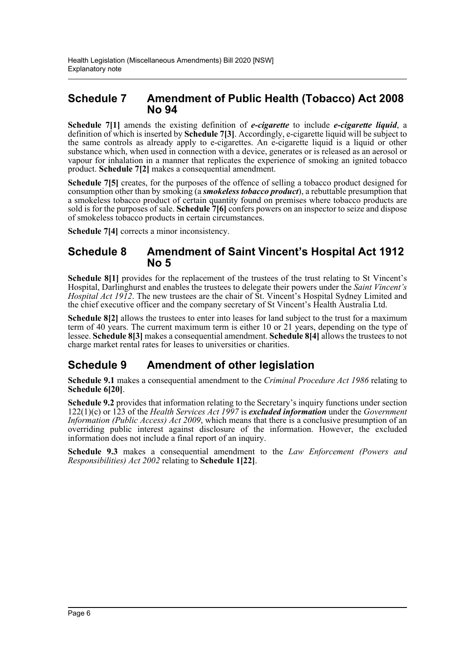## **Schedule 7 Amendment of Public Health (Tobacco) Act 2008 No 94**

**Schedule 7[1]** amends the existing definition of *e-cigarette* to include *e-cigarette liquid*, a definition of which is inserted by **Schedule 7[3]**. Accordingly, e-cigarette liquid will be subject to the same controls as already apply to e-cigarettes. An e-cigarette liquid is a liquid or other substance which, when used in connection with a device, generates or is released as an aerosol or vapour for inhalation in a manner that replicates the experience of smoking an ignited tobacco product. **Schedule 7[2]** makes a consequential amendment.

**Schedule 7[5]** creates, for the purposes of the offence of selling a tobacco product designed for consumption other than by smoking (a *smokeless tobacco product*), a rebuttable presumption that a smokeless tobacco product of certain quantity found on premises where tobacco products are sold is for the purposes of sale. **Schedule 7[6]** confers powers on an inspector to seize and dispose of smokeless tobacco products in certain circumstances.

**Schedule 7[4]** corrects a minor inconsistency.

## **Schedule 8 Amendment of Saint Vincent's Hospital Act 1912 No 5**

**Schedule 8[1]** provides for the replacement of the trustees of the trust relating to St Vincent's Hospital, Darlinghurst and enables the trustees to delegate their powers under the *Saint Vincent's Hospital Act 1912*. The new trustees are the chair of St. Vincent's Hospital Sydney Limited and the chief executive officer and the company secretary of St Vincent's Health Australia Ltd.

**Schedule 8[2]** allows the trustees to enter into leases for land subject to the trust for a maximum term of 40 years. The current maximum term is either 10 or 21 years, depending on the type of lessee. **Schedule 8[3]** makes a consequential amendment. **Schedule 8[4]** allows the trustees to not charge market rental rates for leases to universities or charities.

## **Schedule 9 Amendment of other legislation**

**Schedule 9.1** makes a consequential amendment to the *Criminal Procedure Act 1986* relating to **Schedule 6[20]**.

**Schedule 9.2** provides that information relating to the Secretary's inquiry functions under section 122(1)(c) or 123 of the *Health Services Act 1997* is *excluded information* under the *Government Information (Public Access) Act 2009*, which means that there is a conclusive presumption of an overriding public interest against disclosure of the information. However, the excluded information does not include a final report of an inquiry.

**Schedule 9.3** makes a consequential amendment to the *Law Enforcement (Powers and Responsibilities) Act 2002* relating to **Schedule 1[22]**.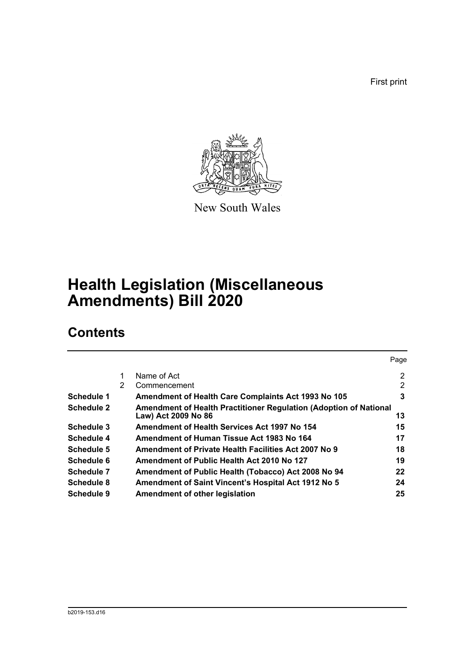First print



New South Wales

# **Health Legislation (Miscellaneous Amendments) Bill 2020**

## **Contents**

|                   |   |                                                                   | Page |
|-------------------|---|-------------------------------------------------------------------|------|
|                   |   | Name of Act                                                       | 2    |
|                   | 2 | Commencement                                                      | 2    |
| Schedule 1        |   | <b>Amendment of Health Care Complaints Act 1993 No 105</b>        | 3    |
| <b>Schedule 2</b> |   | Amendment of Health Practitioner Regulation (Adoption of National |      |
|                   |   | Law) Act 2009 No 86                                               | 13   |
| Schedule 3        |   | <b>Amendment of Health Services Act 1997 No 154</b>               | 15   |
| Schedule 4        |   | Amendment of Human Tissue Act 1983 No 164                         | 17   |
| Schedule 5        |   | Amendment of Private Health Facilities Act 2007 No 9              | 18   |
| Schedule 6        |   | Amendment of Public Health Act 2010 No 127                        | 19   |
| Schedule 7        |   | Amendment of Public Health (Tobacco) Act 2008 No 94               | 22   |
| Schedule 8        |   | <b>Amendment of Saint Vincent's Hospital Act 1912 No 5</b>        | 24   |
| Schedule 9        |   | Amendment of other legislation                                    | 25   |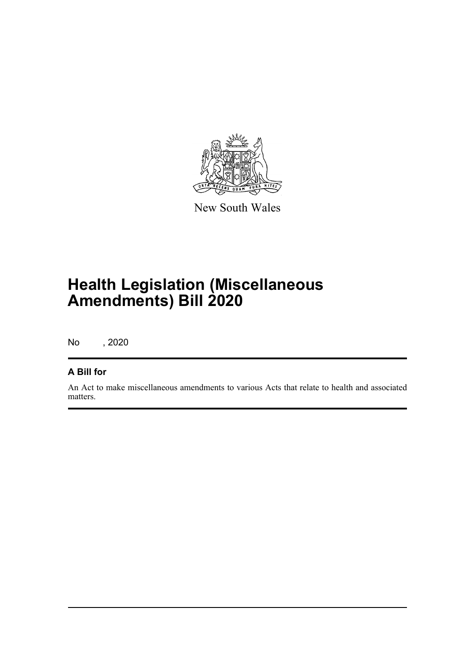

New South Wales

# **Health Legislation (Miscellaneous Amendments) Bill 2020**

No , 2020

## **A Bill for**

An Act to make miscellaneous amendments to various Acts that relate to health and associated matters.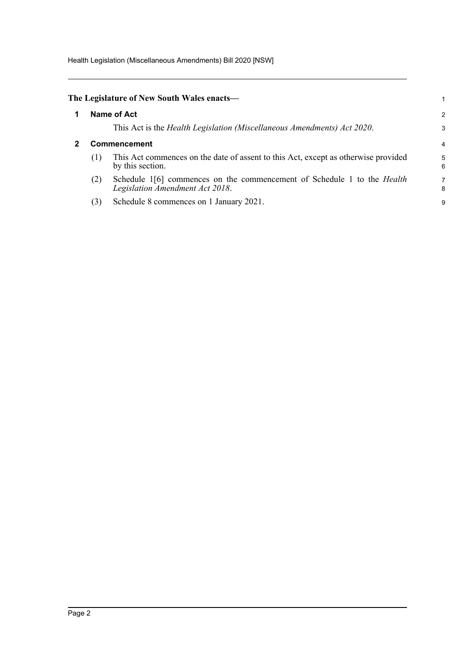Health Legislation (Miscellaneous Amendments) Bill 2020 [NSW]

<span id="page-8-1"></span><span id="page-8-0"></span>

|              | The Legislature of New South Wales enacts—                                                                        |        |  |
|--------------|-------------------------------------------------------------------------------------------------------------------|--------|--|
|              | Name of Act                                                                                                       | 2      |  |
|              | This Act is the <i>Health Legislation (Miscellaneous Amendments) Act 2020</i> .                                   | 3      |  |
| Commencement |                                                                                                                   |        |  |
| (1)          | This Act commences on the date of assent to this Act, except as otherwise provided<br>by this section.            | 5<br>6 |  |
| (2)          | Schedule 1[6] commences on the commencement of Schedule 1 to the <i>Health</i><br>Legislation Amendment Act 2018. | 7<br>8 |  |
| (3)          | Schedule 8 commences on 1 January 2021.                                                                           | 9      |  |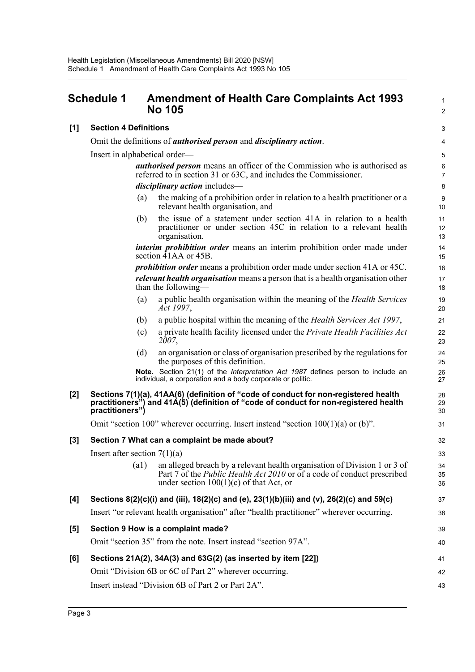## <span id="page-9-0"></span>**Schedule 1 Amendment of Health Care Complaints Act 1993 No 105**

|    | 3              |
|----|----------------|
|    | 4              |
|    | 5              |
|    | 6              |
|    | $\overline{7}$ |
|    | 8              |
|    | 9              |
|    | 10             |
| 11 |                |
|    | 12             |
|    | 13             |
| 14 |                |

39 40

41 42 43

1  $\mathcal{L}$ 

#### **[1] Section 4 Definitions**

Omit the definitions of *authorised person* and *disciplinary action*.

Insert in alphabetical order—

*authorised person* means an officer of the Commission who is authorised as referred to in section 31 or 63C, and includes the Commissioner. *disciplinary action* includes—

- (a) the making of a prohibition order in relation to a health practitioner or a relevant health organisation, and
- (b) the issue of a statement under section 41A in relation to a health practitioner or under section 45C in relation to a relevant health organisation.

*interim prohibition order* means an interim prohibition order made under section 41AA or 45B.

*prohibition order* means a prohibition order made under section 41A or 45C. *relevant health organisation* means a person that is a health organisation other than the following—

- (a) a public health organisation within the meaning of the *Health Services Act 1997*,
- (b) a public hospital within the meaning of the *Health Services Act 1997*,
- (c) a private health facility licensed under the *Private Health Facilities Act 2007*,
- (d) an organisation or class of organisation prescribed by the regulations for the purposes of this definition.

**Note.** Section 21(1) of the *Interpretation Act 1987* defines person to include an individual, a corporation and a body corporate or politic.

#### **[2] Sections 7(1)(a), 41AA(6) (definition of "code of conduct for non-registered health practitioners") and 41A(5) (definition of "code of conduct for non-registered health practitioners")**

Omit "section 100" wherever occurring. Insert instead "section  $100(1)(a)$  or (b)".

#### **[3] Section 7 What can a complaint be made about?**

Insert after section  $7(1)(a)$ —

| (a) | an alleged breach by a relevant health organisation of Division 1 or 3 of                                                   |  |
|-----|-----------------------------------------------------------------------------------------------------------------------------|--|
|     | Part 7 of the <i>Public Health Act 2010</i> or of a code of conduct prescribed<br>under section $100(1)(c)$ of that Act, or |  |
|     |                                                                                                                             |  |

#### **[4] Sections 8(2)(c)(i) and (iii), 18(2)(c) and (e), 23(1)(b)(iii) and (v), 26(2)(c) and 59(c)** Insert "or relevant health organisation" after "health practitioner" wherever occurring.

# **[5] Section 9 How is a complaint made?** Omit "section 35" from the note. Insert instead "section 97A".

## **[6] Sections 21A(2), 34A(3) and 63G(2) (as inserted by item [22])** Omit "Division 6B or 6C of Part 2" wherever occurring.

Insert instead "Division 6B of Part 2 or Part 2A".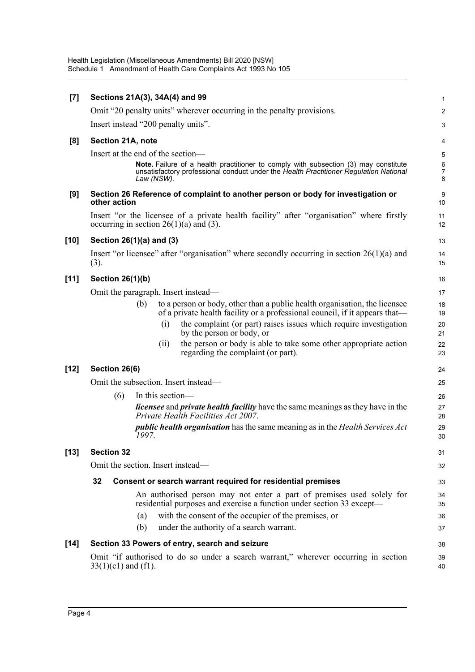| $[7]$  | Sections 21A(3), 34A(4) and 99                                                                                                                                                             |                                         |  |  |  |  |  |  |
|--------|--------------------------------------------------------------------------------------------------------------------------------------------------------------------------------------------|-----------------------------------------|--|--|--|--|--|--|
|        | Omit "20 penalty units" wherever occurring in the penalty provisions.                                                                                                                      | $\overline{c}$                          |  |  |  |  |  |  |
|        | Insert instead "200 penalty units".                                                                                                                                                        | 3                                       |  |  |  |  |  |  |
| [8]    | Section 21A, note                                                                                                                                                                          | 4                                       |  |  |  |  |  |  |
|        | Insert at the end of the section-                                                                                                                                                          |                                         |  |  |  |  |  |  |
|        | Note. Failure of a health practitioner to comply with subsection (3) may constitute<br>unsatisfactory professional conduct under the Health Practitioner Regulation National<br>Law (NSW). | $\boldsymbol{6}$<br>$\overline{7}$<br>8 |  |  |  |  |  |  |
| [9]    | Section 26 Reference of complaint to another person or body for investigation or<br>other action                                                                                           | 9<br>10                                 |  |  |  |  |  |  |
|        | Insert "or the licensee of a private health facility" after "organisation" where firstly<br>occurring in section $26(1)(a)$ and (3).                                                       | 11<br>12                                |  |  |  |  |  |  |
| $[10]$ | Section 26(1)(a) and (3)                                                                                                                                                                   | 13                                      |  |  |  |  |  |  |
|        | Insert "or licensee" after "organisation" where secondly occurring in section $26(1)(a)$ and<br>(3).                                                                                       | 14<br>15                                |  |  |  |  |  |  |
| $[11]$ | Section 26(1)(b)                                                                                                                                                                           | 16                                      |  |  |  |  |  |  |
|        | Omit the paragraph. Insert instead—                                                                                                                                                        | 17                                      |  |  |  |  |  |  |
|        | to a person or body, other than a public health organisation, the licensee<br>(b)<br>of a private health facility or a professional council, if it appears that—                           | 18<br>19                                |  |  |  |  |  |  |
|        | the complaint (or part) raises issues which require investigation<br>(i)<br>by the person or body, or                                                                                      | 20<br>21                                |  |  |  |  |  |  |
|        | the person or body is able to take some other appropriate action<br>(ii)<br>regarding the complaint (or part).                                                                             | 22<br>23                                |  |  |  |  |  |  |
| $[12]$ | Section 26(6)                                                                                                                                                                              | 24                                      |  |  |  |  |  |  |
|        | Omit the subsection. Insert instead-                                                                                                                                                       |                                         |  |  |  |  |  |  |
|        | (6)<br>In this section-                                                                                                                                                                    | 26                                      |  |  |  |  |  |  |
|        | <i>licensee</i> and <i>private health facility</i> have the same meanings as they have in the<br>Private Health Facilities Act 2007.                                                       | 27<br>28                                |  |  |  |  |  |  |
|        | <i>public health organisation</i> has the same meaning as in the <i>Health Services Act</i><br>1997.                                                                                       | 29<br>30                                |  |  |  |  |  |  |
| [13]   | <b>Section 32</b>                                                                                                                                                                          | 31                                      |  |  |  |  |  |  |
|        | Omit the section. Insert instead—                                                                                                                                                          | 32                                      |  |  |  |  |  |  |
|        | 32<br>Consent or search warrant required for residential premises                                                                                                                          | 33                                      |  |  |  |  |  |  |
|        | An authorised person may not enter a part of premises used solely for<br>residential purposes and exercise a function under section 33 except—                                             | 34<br>35                                |  |  |  |  |  |  |
|        | with the consent of the occupier of the premises, or<br>(a)                                                                                                                                | 36                                      |  |  |  |  |  |  |
|        | under the authority of a search warrant.<br>(b)                                                                                                                                            | 37                                      |  |  |  |  |  |  |
| $[14]$ | Section 33 Powers of entry, search and seizure                                                                                                                                             | 38                                      |  |  |  |  |  |  |
|        | Omit "if authorised to do so under a search warrant," wherever occurring in section<br>$33(1)(c1)$ and (f1).                                                                               | 39<br>40                                |  |  |  |  |  |  |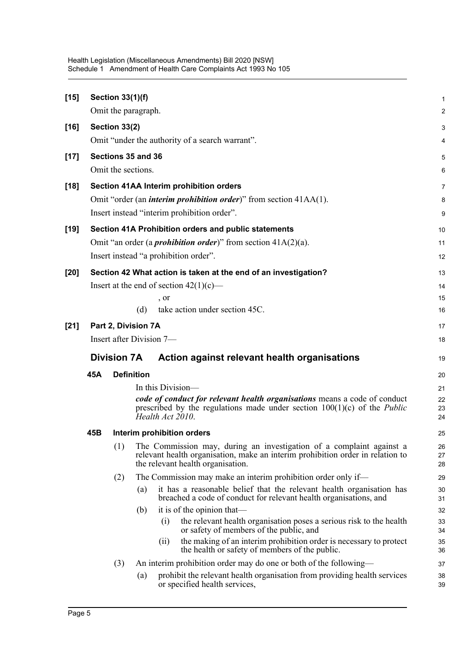| $[15]$ |                                                                    | <b>Section 33(1)(f)</b><br>Omit the paragraph. |                                                                                                                                                                                                                                                                                                          |                            |  |  |  |
|--------|--------------------------------------------------------------------|------------------------------------------------|----------------------------------------------------------------------------------------------------------------------------------------------------------------------------------------------------------------------------------------------------------------------------------------------------------|----------------------------|--|--|--|
| $[16]$ |                                                                    | Section 33(2)                                  |                                                                                                                                                                                                                                                                                                          | 3                          |  |  |  |
|        | Omit "under the authority of a search warrant".                    |                                                |                                                                                                                                                                                                                                                                                                          |                            |  |  |  |
| $[17]$ |                                                                    |                                                | Sections 35 and 36<br>Omit the sections.                                                                                                                                                                                                                                                                 | 5<br>6                     |  |  |  |
| $[18]$ |                                                                    |                                                | Section 41AA Interim prohibition orders<br>Omit "order (an <i>interim prohibition order</i> )" from section 41AA(1).<br>Insert instead "interim prohibition order".                                                                                                                                      | $\overline{7}$<br>8<br>9   |  |  |  |
| $[19]$ |                                                                    |                                                | Section 41A Prohibition orders and public statements                                                                                                                                                                                                                                                     | 10                         |  |  |  |
|        |                                                                    |                                                | Omit "an order (a <i>prohibition order</i> )" from section $41A(2)(a)$ .                                                                                                                                                                                                                                 | 11                         |  |  |  |
|        |                                                                    |                                                | Insert instead "a prohibition order".                                                                                                                                                                                                                                                                    | 12                         |  |  |  |
| $[20]$ |                                                                    |                                                | Section 42 What action is taken at the end of an investigation?<br>Insert at the end of section $42(1)(c)$ —<br>, or<br>take action under section 45C.<br>(d)                                                                                                                                            | 13<br>14<br>15<br>16       |  |  |  |
| $[21]$ | Part 2, Division 7A<br>Insert after Division 7-                    |                                                |                                                                                                                                                                                                                                                                                                          |                            |  |  |  |
|        | Action against relevant health organisations<br><b>Division 7A</b> |                                                |                                                                                                                                                                                                                                                                                                          |                            |  |  |  |
|        | 45A                                                                |                                                | <b>Definition</b>                                                                                                                                                                                                                                                                                        | 20                         |  |  |  |
|        |                                                                    |                                                | In this Division-<br>code of conduct for relevant health organisations means a code of conduct<br>prescribed by the regulations made under section $100(1)(c)$ of the <i>Public</i><br>Health Act 2010.                                                                                                  | 21<br>22<br>23<br>24       |  |  |  |
|        | 45B                                                                |                                                | Interim prohibition orders                                                                                                                                                                                                                                                                               | 25                         |  |  |  |
|        |                                                                    | (1)                                            | The Commission may, during an investigation of a complaint against a<br>relevant health organisation, make an interim prohibition order in relation to<br>the relevant health organisation.                                                                                                              | 26<br>27<br>28             |  |  |  |
|        |                                                                    | (2)                                            | The Commission may make an interim prohibition order only if-                                                                                                                                                                                                                                            | 29                         |  |  |  |
|        |                                                                    |                                                | it has a reasonable belief that the relevant health organisation has<br>(a)<br>breached a code of conduct for relevant health organisations, and                                                                                                                                                         | 30<br>31                   |  |  |  |
|        |                                                                    |                                                | it is of the opinion that—<br>(b)<br>the relevant health organisation poses a serious risk to the health<br>$\left( 1\right)$<br>or safety of members of the public, and<br>the making of an interim prohibition order is necessary to protect<br>(11)<br>the health or safety of members of the public. | 32<br>33<br>34<br>35<br>36 |  |  |  |
|        |                                                                    | (3)                                            | An interim prohibition order may do one or both of the following—                                                                                                                                                                                                                                        | 37                         |  |  |  |
|        |                                                                    |                                                | prohibit the relevant health organisation from providing health services<br>(a)<br>or specified health services,                                                                                                                                                                                         | 38<br>39                   |  |  |  |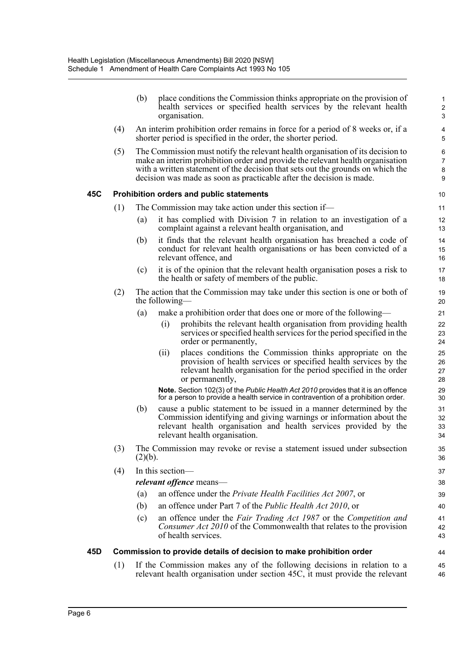|     |     | (b)     | place conditions the Commission thinks appropriate on the provision of<br>health services or specified health services by the relevant health<br>organisation.                                                                                                                                                              | $\mathbf 1$<br>$\overline{c}$<br>$\mathbf{3}$ |
|-----|-----|---------|-----------------------------------------------------------------------------------------------------------------------------------------------------------------------------------------------------------------------------------------------------------------------------------------------------------------------------|-----------------------------------------------|
|     | (4) |         | An interim prohibition order remains in force for a period of 8 weeks or, if a<br>shorter period is specified in the order, the shorter period.                                                                                                                                                                             | 4<br>5                                        |
|     | (5) |         | The Commission must notify the relevant health organisation of its decision to<br>make an interim prohibition order and provide the relevant health organisation<br>with a written statement of the decision that sets out the grounds on which the<br>decision was made as soon as practicable after the decision is made. | 6<br>$\overline{7}$<br>8<br>9                 |
| 45C |     |         | Prohibition orders and public statements                                                                                                                                                                                                                                                                                    | 10                                            |
|     | (1) |         | The Commission may take action under this section if—                                                                                                                                                                                                                                                                       | 11                                            |
|     |     | (a)     | it has complied with Division 7 in relation to an investigation of a<br>complaint against a relevant health organisation, and                                                                                                                                                                                               | 12<br>13                                      |
|     |     | (b)     | it finds that the relevant health organisation has breached a code of<br>conduct for relevant health organisations or has been convicted of a<br>relevant offence, and                                                                                                                                                      | 14<br>15<br>16                                |
|     |     | (c)     | it is of the opinion that the relevant health organisation poses a risk to<br>the health or safety of members of the public.                                                                                                                                                                                                | 17<br>18                                      |
|     | (2) |         | The action that the Commission may take under this section is one or both of<br>the following—                                                                                                                                                                                                                              | 19<br>20                                      |
|     |     | (a)     | make a prohibition order that does one or more of the following—                                                                                                                                                                                                                                                            | 21                                            |
|     |     |         | prohibits the relevant health organisation from providing health<br>(i)<br>services or specified health services for the period specified in the<br>order or permanently,                                                                                                                                                   | 22<br>23<br>24                                |
|     |     |         | places conditions the Commission thinks appropriate on the<br>(i)<br>provision of health services or specified health services by the<br>relevant health organisation for the period specified in the order<br>or permanently,                                                                                              | 25<br>26<br>27<br>28                          |
|     |     |         | Note. Section 102(3) of the Public Health Act 2010 provides that it is an offence<br>for a person to provide a health service in contravention of a prohibition order.                                                                                                                                                      | 29<br>30                                      |
|     |     | (b)     | cause a public statement to be issued in a manner determined by the<br>Commission identifying and giving warnings or information about the<br>relevant health organisation and health services provided by the<br>relevant health organisation.                                                                             | 31<br>32<br>33<br>34                          |
|     | (3) | (2)(b). | The Commission may revoke or revise a statement issued under subsection                                                                                                                                                                                                                                                     | 35<br>36                                      |
|     | (4) |         | In this section-                                                                                                                                                                                                                                                                                                            | 37                                            |
|     |     |         | relevant offence means-                                                                                                                                                                                                                                                                                                     | 38                                            |
|     |     | (a)     | an offence under the <i>Private Health Facilities Act 2007</i> , or                                                                                                                                                                                                                                                         | 39                                            |
|     |     | (b)     | an offence under Part 7 of the <i>Public Health Act 2010</i> , or                                                                                                                                                                                                                                                           | 40                                            |
|     |     | (c)     | an offence under the Fair Trading Act 1987 or the Competition and<br>Consumer Act 2010 of the Commonwealth that relates to the provision<br>of health services.                                                                                                                                                             | 41<br>42<br>43                                |
| 45D |     |         | Commission to provide details of decision to make prohibition order                                                                                                                                                                                                                                                         | 44                                            |
|     | (1) |         | If the Commission makes any of the following decisions in relation to a<br>relevant health organisation under section 45C, it must provide the relevant                                                                                                                                                                     | 45<br>46                                      |
|     |     |         |                                                                                                                                                                                                                                                                                                                             |                                               |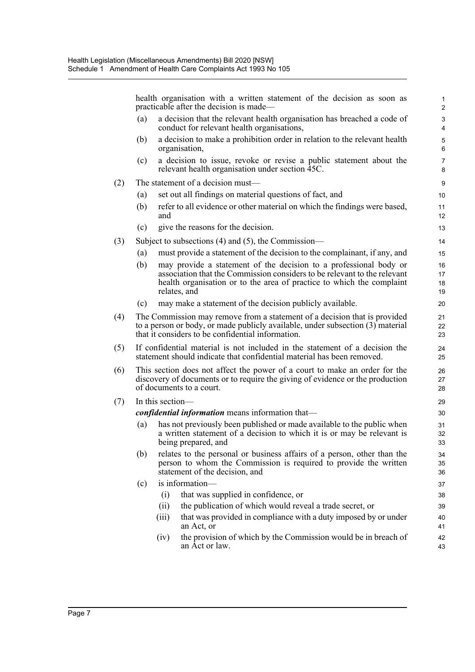health organisation with a written statement of the decision as soon as practicable after the decision is made— (a) a decision that the relevant health organisation has breached a code of conduct for relevant health organisations, (b) a decision to make a prohibition order in relation to the relevant health organisation, (c) a decision to issue, revoke or revise a public statement about the relevant health organisation under section 45C. (2) The statement of a decision must— (a) set out all findings on material questions of fact, and (b) refer to all evidence or other material on which the findings were based, and (c) give the reasons for the decision. (3) Subject to subsections (4) and (5), the Commission— (a) must provide a statement of the decision to the complainant, if any, and (b) may provide a statement of the decision to a professional body or association that the Commission considers to be relevant to the relevant health organisation or to the area of practice to which the complaint relates, and (c) may make a statement of the decision publicly available. (4) The Commission may remove from a statement of a decision that is provided to a person or body, or made publicly available, under subsection (3) material that it considers to be confidential information. (5) If confidential material is not included in the statement of a decision the statement should indicate that confidential material has been removed. (6) This section does not affect the power of a court to make an order for the discovery of documents or to require the giving of evidence or the production of documents to a court. (7) In this section *confidential information* means information that— (a) has not previously been published or made available to the public when a written statement of a decision to which it is or may be relevant is being prepared, and (b) relates to the personal or business affairs of a person, other than the person to whom the Commission is required to provide the written statement of the decision, and (c) is information— (i) that was supplied in confidence, or (ii) the publication of which would reveal a trade secret, or (iii) that was provided in compliance with a duty imposed by or under an Act, or (iv) the provision of which by the Commission would be in breach of an Act or law. 1 2 3 4 5 6 7 8 9 10 11 12 13 14 15 16 17 18 19 20 21 22 23  $24$ 25 26 27 28 29 30 31 32 33 34 35 36 37 38 39 40 41 42 43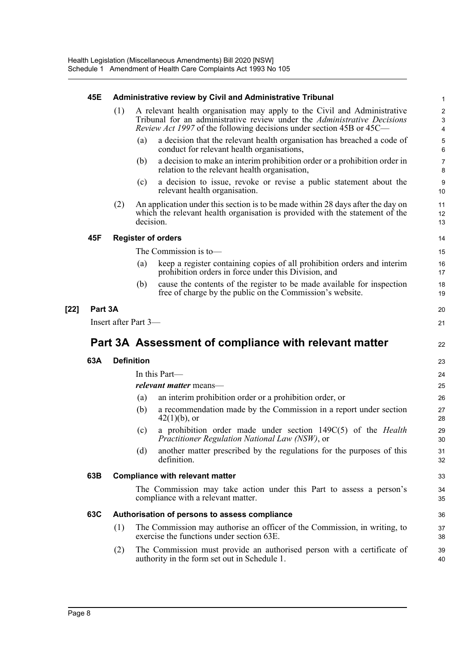|        | 45E                                                   |     |                   | Administrative review by Civil and Administrative Tribunal                                                                                                                                                                          | 1                               |  |  |
|--------|-------------------------------------------------------|-----|-------------------|-------------------------------------------------------------------------------------------------------------------------------------------------------------------------------------------------------------------------------------|---------------------------------|--|--|
|        |                                                       | (1) |                   | A relevant health organisation may apply to the Civil and Administrative<br>Tribunal for an administrative review under the Administrative Decisions<br><i>Review Act 1997</i> of the following decisions under section 45B or 45C— | $\mathbf 2$<br>$\mathsf 3$<br>4 |  |  |
|        |                                                       |     | (a)               | a decision that the relevant health organisation has breached a code of<br>conduct for relevant health organisations,                                                                                                               | 5<br>6                          |  |  |
|        |                                                       |     | (b)               | a decision to make an interim prohibition order or a prohibition order in<br>relation to the relevant health organisation,                                                                                                          | $\overline{7}$<br>8             |  |  |
|        |                                                       |     | (c)               | a decision to issue, revoke or revise a public statement about the<br>relevant health organisation.                                                                                                                                 | 9<br>10                         |  |  |
|        |                                                       | (2) | decision.         | An application under this section is to be made within 28 days after the day on<br>which the relevant health organisation is provided with the statement of the                                                                     | 11<br>12<br>13                  |  |  |
|        | 45F                                                   |     |                   | <b>Register of orders</b>                                                                                                                                                                                                           | 14                              |  |  |
|        |                                                       |     |                   | The Commission is to-                                                                                                                                                                                                               | 15                              |  |  |
|        |                                                       |     | (a)               | keep a register containing copies of all prohibition orders and interim<br>prohibition orders in force under this Division, and                                                                                                     | 16<br>17                        |  |  |
|        |                                                       |     | (b)               | cause the contents of the register to be made available for inspection<br>free of charge by the public on the Commission's website.                                                                                                 | 18<br>19                        |  |  |
| $[22]$ | Part 3A                                               |     |                   |                                                                                                                                                                                                                                     | 20                              |  |  |
|        | Insert after Part 3-                                  |     |                   |                                                                                                                                                                                                                                     |                                 |  |  |
|        | Part 3A Assessment of compliance with relevant matter |     |                   |                                                                                                                                                                                                                                     |                                 |  |  |
|        | 63A                                                   |     | <b>Definition</b> |                                                                                                                                                                                                                                     | 23                              |  |  |
|        |                                                       |     |                   | In this Part-                                                                                                                                                                                                                       | 24                              |  |  |
|        |                                                       |     |                   | <i>relevant matter</i> means—                                                                                                                                                                                                       | 25                              |  |  |
|        |                                                       |     | (a)               | an interim prohibition order or a prohibition order, or                                                                                                                                                                             | 26                              |  |  |
|        |                                                       |     | (b)               | a recommendation made by the Commission in a report under section<br>$42(1)(b)$ , or                                                                                                                                                | 27<br>28                        |  |  |
|        |                                                       |     | (c)               | a prohibition order made under section 149C(5) of the <i>Health</i><br>Practitioner Regulation National Law (NSW), or                                                                                                               | 29<br>30                        |  |  |
|        |                                                       |     | (d)               | another matter prescribed by the regulations for the purposes of this<br>definition.                                                                                                                                                | 31<br>32                        |  |  |
|        | 63B                                                   |     |                   | <b>Compliance with relevant matter</b>                                                                                                                                                                                              | 33                              |  |  |
|        |                                                       |     |                   | The Commission may take action under this Part to assess a person's<br>compliance with a relevant matter.                                                                                                                           | 34<br>35                        |  |  |
|        | 63C                                                   |     |                   | Authorisation of persons to assess compliance                                                                                                                                                                                       | 36                              |  |  |
|        |                                                       | (1) |                   | The Commission may authorise an officer of the Commission, in writing, to<br>exercise the functions under section 63E.                                                                                                              | 37<br>38                        |  |  |
|        |                                                       | (2) |                   | The Commission must provide an authorised person with a certificate of<br>authority in the form set out in Schedule 1.                                                                                                              | 39<br>40                        |  |  |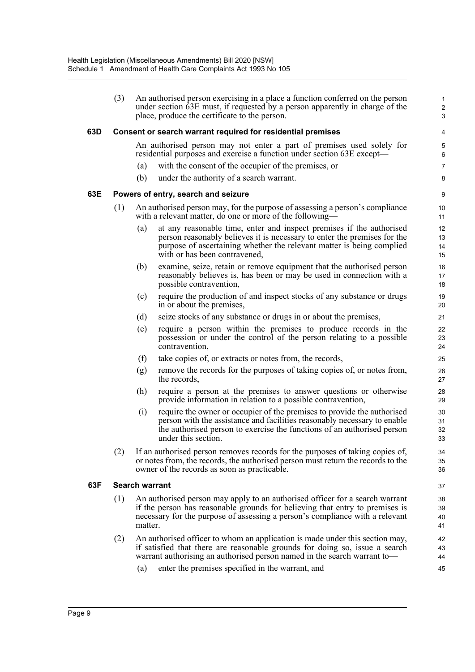|     | (3) |                                                                                                                                          | An authorised person exercising in a place a function conferred on the person<br>under section 63E must, if requested by a person apparently in charge of the<br>place, produce the certificate to the person.                                             | $\mathbf{1}$<br>$\overline{c}$<br>3 |  |  |
|-----|-----|------------------------------------------------------------------------------------------------------------------------------------------|------------------------------------------------------------------------------------------------------------------------------------------------------------------------------------------------------------------------------------------------------------|-------------------------------------|--|--|
| 63D |     |                                                                                                                                          | Consent or search warrant required for residential premises                                                                                                                                                                                                | 4                                   |  |  |
|     |     |                                                                                                                                          | An authorised person may not enter a part of premises used solely for<br>residential purposes and exercise a function under section 63E except—                                                                                                            | $\mathbf 5$<br>6                    |  |  |
|     |     | (a)                                                                                                                                      | with the consent of the occupier of the premises, or                                                                                                                                                                                                       | $\overline{7}$                      |  |  |
|     |     | (b)                                                                                                                                      | under the authority of a search warrant.                                                                                                                                                                                                                   | 8                                   |  |  |
| 63E |     |                                                                                                                                          | Powers of entry, search and seizure                                                                                                                                                                                                                        | 9                                   |  |  |
|     | (1) | An authorised person may, for the purpose of assessing a person's compliance<br>with a relevant matter, do one or more of the following— |                                                                                                                                                                                                                                                            |                                     |  |  |
|     |     | (a)                                                                                                                                      | at any reasonable time, enter and inspect premises if the authorised<br>person reasonably believes it is necessary to enter the premises for the<br>purpose of ascertaining whether the relevant matter is being complied<br>with or has been contravened, | 12<br>13<br>14<br>15                |  |  |
|     |     | (b)                                                                                                                                      | examine, seize, retain or remove equipment that the authorised person<br>reasonably believes is, has been or may be used in connection with a<br>possible contravention,                                                                                   | 16<br>17<br>18                      |  |  |
|     |     | (c)                                                                                                                                      | require the production of and inspect stocks of any substance or drugs<br>in or about the premises,                                                                                                                                                        | 19<br>20                            |  |  |
|     |     | (d)                                                                                                                                      | seize stocks of any substance or drugs in or about the premises,                                                                                                                                                                                           | 21                                  |  |  |
|     |     | (e)                                                                                                                                      | require a person within the premises to produce records in the<br>possession or under the control of the person relating to a possible<br>contravention,                                                                                                   | 22<br>23<br>24                      |  |  |
|     |     | (f)                                                                                                                                      | take copies of, or extracts or notes from, the records,                                                                                                                                                                                                    | 25                                  |  |  |
|     |     | (g)                                                                                                                                      | remove the records for the purposes of taking copies of, or notes from,<br>the records,                                                                                                                                                                    | 26<br>27                            |  |  |
|     |     | (h)                                                                                                                                      | require a person at the premises to answer questions or otherwise<br>provide information in relation to a possible contravention,                                                                                                                          | 28<br>29                            |  |  |
|     |     | (i)                                                                                                                                      | require the owner or occupier of the premises to provide the authorised<br>person with the assistance and facilities reasonably necessary to enable<br>the authorised person to exercise the functions of an authorised person<br>under this section.      | 30<br>31<br>32<br>33                |  |  |
|     |     |                                                                                                                                          | (2) If an authorised person removes records for the purposes of taking copies of,<br>or notes from, the records, the authorised person must return the records to the<br>owner of the records as soon as practicable.                                      | 34<br>35<br>36                      |  |  |
| 63F |     | <b>Search warrant</b>                                                                                                                    |                                                                                                                                                                                                                                                            | 37                                  |  |  |
|     | (1) | matter.                                                                                                                                  | An authorised person may apply to an authorised officer for a search warrant<br>if the person has reasonable grounds for believing that entry to premises is<br>necessary for the purpose of assessing a person's compliance with a relevant               | 38<br>39<br>40<br>41                |  |  |
|     | (2) |                                                                                                                                          | An authorised officer to whom an application is made under this section may,<br>if satisfied that there are reasonable grounds for doing so, issue a search<br>warrant authorising an authorised person named in the search warrant to-                    | 42<br>43<br>44                      |  |  |
|     |     | (a)                                                                                                                                      | enter the premises specified in the warrant, and                                                                                                                                                                                                           | 45                                  |  |  |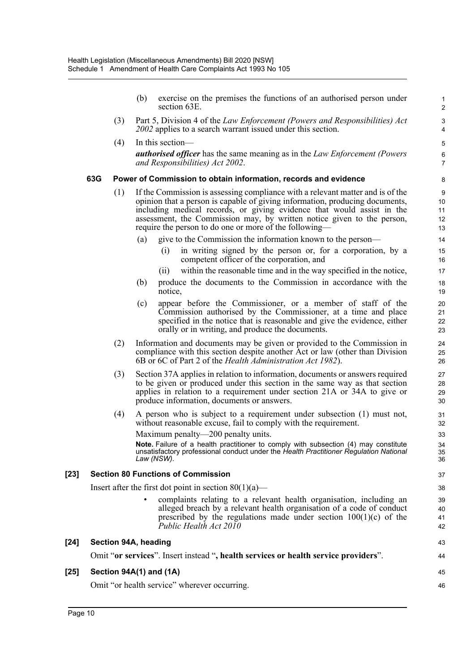|        |                         | (b) | exercise on the premises the functions of an authorised person under<br>section 63E.                                                                                                                                                                                                                                                                                         | $\mathbf{1}$<br>$\boldsymbol{2}$       |
|--------|-------------------------|-----|------------------------------------------------------------------------------------------------------------------------------------------------------------------------------------------------------------------------------------------------------------------------------------------------------------------------------------------------------------------------------|----------------------------------------|
|        | (3)                     |     | Part 5, Division 4 of the Law Enforcement (Powers and Responsibilities) Act<br>2002 applies to a search warrant issued under this section.                                                                                                                                                                                                                                   | $\mathsf 3$<br>$\overline{\mathbf{4}}$ |
|        | (4)                     |     | In this section—                                                                                                                                                                                                                                                                                                                                                             | 5                                      |
|        |                         |     | <b>authorised officer</b> has the same meaning as in the Law Enforcement (Powers<br>and Responsibilities) Act 2002.                                                                                                                                                                                                                                                          | 6<br>$\overline{7}$                    |
|        | 63G                     |     | Power of Commission to obtain information, records and evidence                                                                                                                                                                                                                                                                                                              | 8                                      |
|        | (1)                     |     | If the Commission is assessing compliance with a relevant matter and is of the<br>opinion that a person is capable of giving information, producing documents,<br>including medical records, or giving evidence that would assist in the<br>assessment, the Commission may, by written notice given to the person,<br>require the person to do one or more of the following— | 9<br>10<br>11<br>12<br>13              |
|        |                         | (a) | give to the Commission the information known to the person-                                                                                                                                                                                                                                                                                                                  | 14                                     |
|        |                         |     | in writing signed by the person or, for a corporation, by a<br>(i)<br>competent officer of the corporation, and                                                                                                                                                                                                                                                              | 15<br>16                               |
|        |                         |     | within the reasonable time and in the way specified in the notice,<br>(11)                                                                                                                                                                                                                                                                                                   | 17                                     |
|        |                         | (b) | produce the documents to the Commission in accordance with the<br>notice,                                                                                                                                                                                                                                                                                                    | 18<br>19                               |
|        |                         | (c) | appear before the Commissioner, or a member of staff of the<br>Commission authorised by the Commissioner, at a time and place<br>specified in the notice that is reasonable and give the evidence, either<br>orally or in writing, and produce the documents.                                                                                                                | 20<br>21<br>22<br>23                   |
|        | (2)                     |     | Information and documents may be given or provided to the Commission in<br>compliance with this section despite another Act or law (other than Division<br>6B or 6C of Part 2 of the <i>Health Administration Act 1982</i> ).                                                                                                                                                | 24<br>25<br>26                         |
|        | (3)                     |     | Section 37A applies in relation to information, documents or answers required<br>to be given or produced under this section in the same way as that section<br>applies in relation to a requirement under section 21A or 34A to give or<br>produce information, documents or answers.                                                                                        | 27<br>28<br>29<br>30                   |
|        | (4)                     |     | A person who is subject to a requirement under subsection (1) must not,<br>without reasonable excuse, fail to comply with the requirement.                                                                                                                                                                                                                                   | 31<br>32                               |
|        |                         |     | Maximum penalty-200 penalty units.                                                                                                                                                                                                                                                                                                                                           | 33                                     |
|        |                         |     | Note. Failure of a health practitioner to comply with subsection (4) may constitute<br>unsatisfactory professional conduct under the Health Practitioner Regulation National<br>Law (NSW).                                                                                                                                                                                   | 34<br>35<br>36                         |
| $[23]$ |                         |     | <b>Section 80 Functions of Commission</b>                                                                                                                                                                                                                                                                                                                                    | 37                                     |
|        |                         |     | Insert after the first dot point in section $80(1)(a)$ —                                                                                                                                                                                                                                                                                                                     | 38                                     |
|        |                         |     | complaints relating to a relevant health organisation, including an<br>alleged breach by a relevant health organisation of a code of conduct<br>prescribed by the regulations made under section $100(1)(c)$ of the<br>Public Health Act 2010                                                                                                                                | 39<br>40<br>41<br>42                   |
| $[24]$ | Section 94A, heading    |     |                                                                                                                                                                                                                                                                                                                                                                              | 43                                     |
|        |                         |     | Omit "or services". Insert instead ", health services or health service providers".                                                                                                                                                                                                                                                                                          | 44                                     |
| $[25]$ | Section 94A(1) and (1A) |     |                                                                                                                                                                                                                                                                                                                                                                              | 45                                     |
|        |                         |     | Omit "or health service" wherever occurring.                                                                                                                                                                                                                                                                                                                                 | 46                                     |

Omit "or health service" wherever occurring.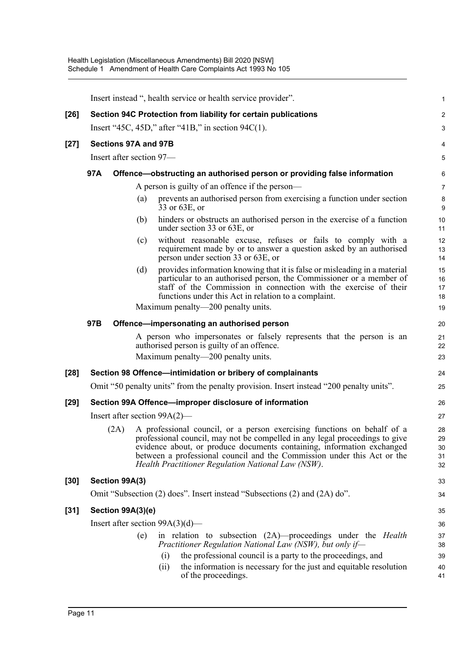|        |                                                                                |                      |     | Insert instead ", health service or health service provider".                                                                                                                                                                                                                                                                                                  | 1                          |  |  |
|--------|--------------------------------------------------------------------------------|----------------------|-----|----------------------------------------------------------------------------------------------------------------------------------------------------------------------------------------------------------------------------------------------------------------------------------------------------------------------------------------------------------------|----------------------------|--|--|
| $[26]$ |                                                                                |                      |     | Section 94C Protection from liability for certain publications                                                                                                                                                                                                                                                                                                 | 2                          |  |  |
|        |                                                                                |                      |     | Insert "45C, 45D," after "41B," in section $94C(1)$ .                                                                                                                                                                                                                                                                                                          | 3                          |  |  |
| $[27]$ |                                                                                | Sections 97A and 97B |     |                                                                                                                                                                                                                                                                                                                                                                | 4                          |  |  |
|        | Insert after section 97-                                                       |                      |     |                                                                                                                                                                                                                                                                                                                                                                |                            |  |  |
|        | 97A<br>Offence—obstructing an authorised person or providing false information |                      |     |                                                                                                                                                                                                                                                                                                                                                                |                            |  |  |
|        |                                                                                |                      |     | A person is guilty of an offence if the person—                                                                                                                                                                                                                                                                                                                | 7                          |  |  |
|        |                                                                                |                      | (a) | prevents an authorised person from exercising a function under section<br>33 or 63E, or                                                                                                                                                                                                                                                                        | 8<br>9                     |  |  |
|        |                                                                                |                      | (b) | hinders or obstructs an authorised person in the exercise of a function<br>under section 33 or 63E, or                                                                                                                                                                                                                                                         | 10<br>11                   |  |  |
|        |                                                                                |                      | (c) | without reasonable excuse, refuses or fails to comply with a<br>requirement made by or to answer a question asked by an authorised<br>person under section 33 or 63E, or                                                                                                                                                                                       | 12<br>13<br>14             |  |  |
|        |                                                                                |                      | (d) | provides information knowing that it is false or misleading in a material<br>particular to an authorised person, the Commissioner or a member of<br>staff of the Commission in connection with the exercise of their<br>functions under this Act in relation to a complaint.                                                                                   | 15<br>16<br>17<br>18       |  |  |
|        |                                                                                |                      |     | Maximum penalty—200 penalty units.                                                                                                                                                                                                                                                                                                                             | 19                         |  |  |
|        | 97B                                                                            |                      |     | Offence-impersonating an authorised person                                                                                                                                                                                                                                                                                                                     | 20                         |  |  |
|        |                                                                                |                      |     | A person who impersonates or falsely represents that the person is an<br>authorised person is guilty of an offence.                                                                                                                                                                                                                                            | 21<br>22                   |  |  |
|        |                                                                                |                      |     | Maximum penalty—200 penalty units.                                                                                                                                                                                                                                                                                                                             | 23                         |  |  |
| $[28]$ |                                                                                |                      |     | Section 98 Offence-intimidation or bribery of complainants                                                                                                                                                                                                                                                                                                     | 24                         |  |  |
|        |                                                                                |                      |     | Omit "50 penalty units" from the penalty provision. Insert instead "200 penalty units".                                                                                                                                                                                                                                                                        | 25                         |  |  |
| $[29]$ |                                                                                |                      |     | Section 99A Offence-improper disclosure of information                                                                                                                                                                                                                                                                                                         | 26                         |  |  |
|        |                                                                                |                      |     | Insert after section $99A(2)$ —                                                                                                                                                                                                                                                                                                                                | 27                         |  |  |
|        |                                                                                | (2A)                 |     | A professional council, or a person exercising functions on behalf of a<br>professional council, may not be compelled in any legal proceedings to give<br>evidence about, or produce documents containing, information exchanged between a professional council and the Commission under this Act or the<br>Health Practitioner Regulation National Law (NSW). | 28<br>29<br>30<br>31<br>32 |  |  |
| $[30]$ |                                                                                | Section 99A(3)       |     |                                                                                                                                                                                                                                                                                                                                                                | 33                         |  |  |
|        |                                                                                |                      |     | Omit "Subsection (2) does". Insert instead "Subsections (2) and (2A) do".                                                                                                                                                                                                                                                                                      | 34                         |  |  |
| $[31]$ |                                                                                | Section 99A(3)(e)    |     |                                                                                                                                                                                                                                                                                                                                                                | 35                         |  |  |
|        |                                                                                |                      |     | Insert after section $99A(3)(d)$ —                                                                                                                                                                                                                                                                                                                             | 36                         |  |  |
|        |                                                                                |                      | (e) | in relation to subsection $(2A)$ —proceedings under the <i>Health</i><br>Practitioner Regulation National Law (NSW), but only if-                                                                                                                                                                                                                              | 37<br>38                   |  |  |
|        |                                                                                |                      |     | the professional council is a party to the proceedings, and<br>(i)<br>the information is necessary for the just and equitable resolution<br>(ii)<br>of the proceedings.                                                                                                                                                                                        | 39<br>40<br>41             |  |  |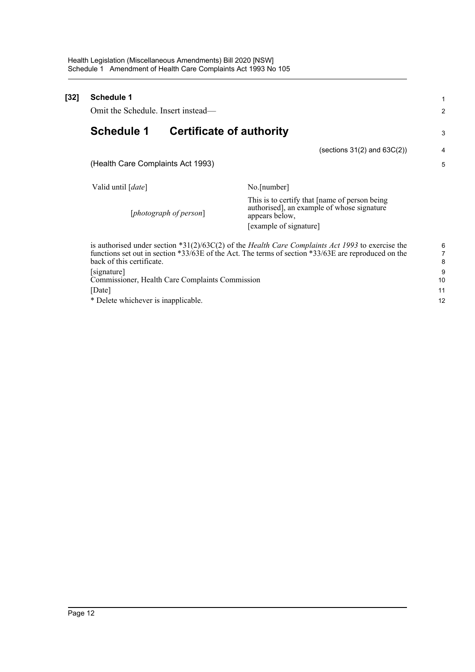| [32] | <b>Schedule 1</b><br>Omit the Schedule. Insert instead—        |                                                                                                                                                                                                                | 2           |
|------|----------------------------------------------------------------|----------------------------------------------------------------------------------------------------------------------------------------------------------------------------------------------------------------|-------------|
|      | <b>Schedule 1</b><br><b>Certificate of authority</b>           |                                                                                                                                                                                                                | 3           |
|      |                                                                | (sections $31(2)$ and $63C(2)$ )                                                                                                                                                                               | 4           |
|      | (Health Care Complaints Act 1993)                              |                                                                                                                                                                                                                | 5           |
|      | Valid until [date]                                             | No.[number]                                                                                                                                                                                                    |             |
|      | [photograph of person]                                         | This is to certify that [name of person being]<br>authorised], an example of whose signature<br>appears below,<br>[example of signature]                                                                       |             |
|      | back of this certificate.                                      | is authorised under section *31(2)/63C(2) of the <i>Health Care Complaints Act 1993</i> to exercise the<br>functions set out in section *33/63E of the Act. The terms of section *33/63E are reproduced on the | 6<br>7<br>8 |
|      | [signature]<br>Commissioner, Health Care Complaints Commission |                                                                                                                                                                                                                | 9<br>10     |
|      | [Date]                                                         |                                                                                                                                                                                                                | 11          |
|      | * Delete whichever is inapplicable.                            |                                                                                                                                                                                                                | 12          |
|      |                                                                |                                                                                                                                                                                                                |             |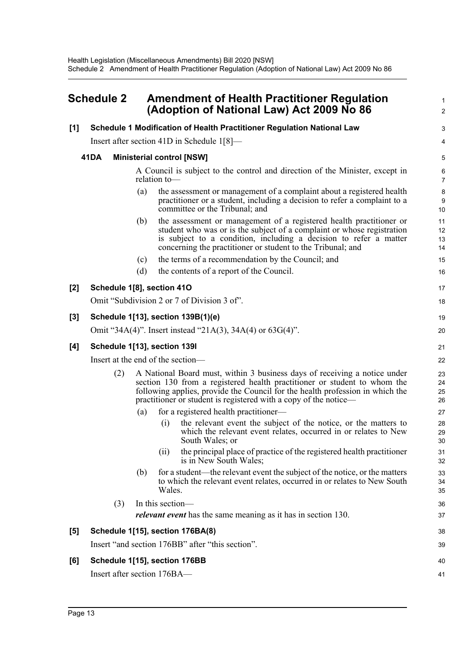## <span id="page-19-0"></span>**Schedule 2 Amendment of Health Practitioner Regulation (Adoption of National Law) Act 2009 No 86**

#### **[1] Schedule 1 Modification of Health Practitioner Regulation National Law**

Insert after section 41D in Schedule 1[8]—

#### **41DA Ministerial control [NSW]**

A Council is subject to the control and direction of the Minister, except in relation to1  $\mathcal{L}$ 

3 4

17 18

38 39

40 41

- (a) the assessment or management of a complaint about a registered health practitioner or a student, including a decision to refer a complaint to a committee or the Tribunal; and
- (b) the assessment or management of a registered health practitioner or student who was or is the subject of a complaint or whose registration is subject to a condition, including a decision to refer a matter concerning the practitioner or student to the Tribunal; and
- (c) the terms of a recommendation by the Council; and
- (d) the contents of a report of the Council.

#### **[2] Schedule 1[8], section 41O**

|     | Omit "Subdivision 2 or 7 of Division 3 of". |
|-----|---------------------------------------------|
| [3] | Schedule 1[13], section 139B(1)(e)          |

Omit "34A(4)". Insert instead "21A(3), 34A(4) or 63G(4)".

#### **[4] Schedule 1[13], section 139I**

Insert at the end of the section—

- (2) A National Board must, within 3 business days of receiving a notice under section 130 from a registered health practitioner or student to whom the following applies, provide the Council for the health profession in which the practitioner or student is registered with a copy of the notice—
	- (a) for a registered health practitioner—
		- (i) the relevant event the subject of the notice, or the matters to which the relevant event relates, occurred in or relates to New South Wales; or
		- (ii) the principal place of practice of the registered health practitioner is in New South Wales;
	- (b) for a student—the relevant event the subject of the notice, or the matters to which the relevant event relates, occurred in or relates to New South Wales.
- (3) In this section *relevant event* has the same meaning as it has in section 130.

#### **[5] Schedule 1[15], section 176BA(8)**

Insert "and section 176BB" after "this section".

#### **[6] Schedule 1[15], section 176BB**

Insert after section 176BA—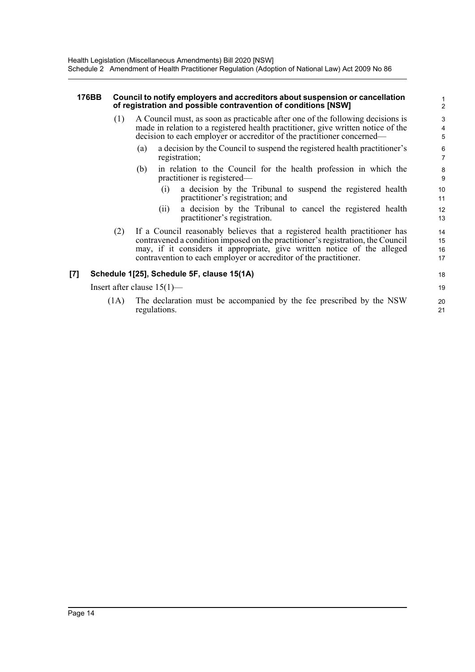#### **176BB Council to notify employers and accreditors about suspension or cancellation of registration and possible contravention of conditions [NSW]**

- (1) A Council must, as soon as practicable after one of the following decisions is made in relation to a registered health practitioner, give written notice of the decision to each employer or accreditor of the practitioner concerned—
	- (a) a decision by the Council to suspend the registered health practitioner's registration;
	- (b) in relation to the Council for the health profession in which the practitioner is registered—
		- (i) a decision by the Tribunal to suspend the registered health practitioner's registration; and

- (ii) a decision by the Tribunal to cancel the registered health practitioner's registration.
- (2) If a Council reasonably believes that a registered health practitioner has contravened a condition imposed on the practitioner's registration, the Council may, if it considers it appropriate, give written notice of the alleged contravention to each employer or accreditor of the practitioner.

#### **[7] Schedule 1[25], Schedule 5F, clause 15(1A)**

Insert after clause 15(1)—

(1A) The declaration must be accompanied by the fee prescribed by the NSW regulations.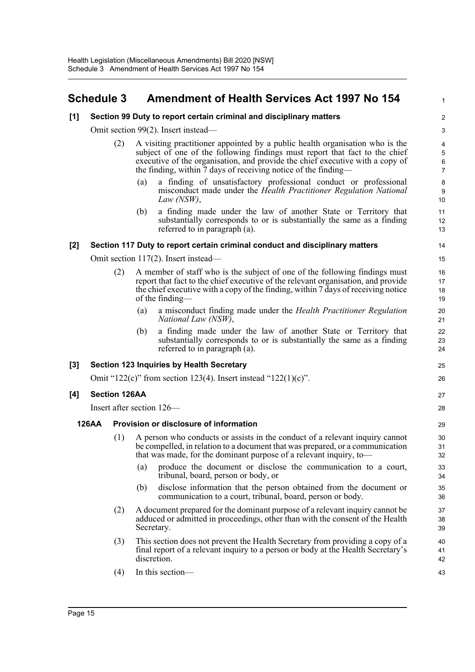## <span id="page-21-0"></span>**Schedule 3 Amendment of Health Services Act 1997 No 154**

#### **[1] Section 99 Duty to report certain criminal and disciplinary matters**

Omit section 99(2). Insert instead—

- (2) A visiting practitioner appointed by a public health organisation who is the subject of one of the following findings must report that fact to the chief executive of the organisation, and provide the chief executive with a copy of the finding, within  $\bar{7}$  days of receiving notice of the finding-
	- (a) a finding of unsatisfactory professional conduct or professional misconduct made under the *Health Practitioner Regulation National Law (NSW)*,

1

25 26

27 28

(b) a finding made under the law of another State or Territory that substantially corresponds to or is substantially the same as a finding referred to in paragraph (a).

#### **[2] Section 117 Duty to report certain criminal conduct and disciplinary matters**

Omit section 117(2). Insert instead—

- (2) A member of staff who is the subject of one of the following findings must report that fact to the chief executive of the relevant organisation, and provide the chief executive with a copy of the finding, within 7 days of receiving notice of the finding—
	- (a) a misconduct finding made under the *Health Practitioner Regulation National Law (NSW)*,
	- (b) a finding made under the law of another State or Territory that substantially corresponds to or is substantially the same as a finding referred to in paragraph (a).

#### **[3] Section 123 Inquiries by Health Secretary**

Omit "122(c)" from section 123(4). Insert instead "122(1)(c)".

#### **[4] Section 126AA**

Insert after section 126—

#### **126AA Provision or disclosure of information**

- (1) A person who conducts or assists in the conduct of a relevant inquiry cannot be compelled, in relation to a document that was prepared, or a communication that was made, for the dominant purpose of a relevant inquiry, to—
	- (a) produce the document or disclose the communication to a court, tribunal, board, person or body, or
	- (b) disclose information that the person obtained from the document or communication to a court, tribunal, board, person or body.
- (2) A document prepared for the dominant purpose of a relevant inquiry cannot be adduced or admitted in proceedings, other than with the consent of the Health Secretary.
- (3) This section does not prevent the Health Secretary from providing a copy of a final report of a relevant inquiry to a person or body at the Health Secretary's discretion.
- (4) In this section—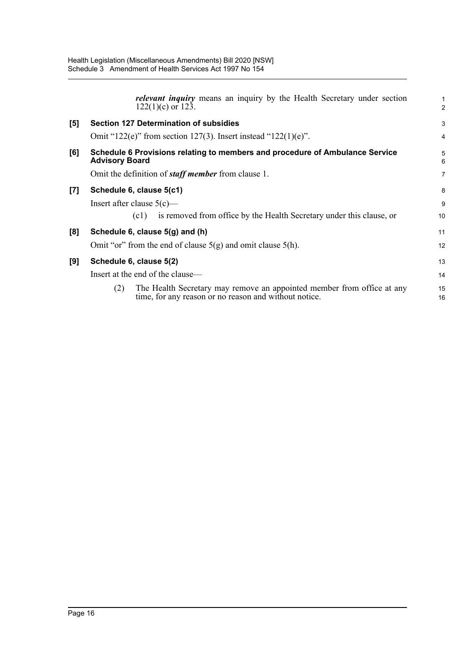|                    | <i>relevant inquiry</i> means an inquiry by the Health Secretary under section<br>$122(1)(c)$ or 123.                                  | $\overline{2}$ |  |  |
|--------------------|----------------------------------------------------------------------------------------------------------------------------------------|----------------|--|--|
| [5]                | <b>Section 127 Determination of subsidies</b>                                                                                          | 3              |  |  |
|                    | Omit "122(e)" from section 127(3). Insert instead "122(1)(e)".                                                                         | 4              |  |  |
| [6]                | Schedule 6 Provisions relating to members and procedure of Ambulance Service<br><b>Advisory Board</b>                                  | 5<br>6         |  |  |
|                    | Omit the definition of <i>staff member</i> from clause 1.                                                                              | 7              |  |  |
| $\left[ 7 \right]$ | Schedule 6, clause 5(c1)                                                                                                               | 8              |  |  |
|                    | Insert after clause $5(c)$ —                                                                                                           | 9              |  |  |
|                    | is removed from office by the Health Secretary under this clause, or<br>(c1)                                                           | 10             |  |  |
| [8]                | Schedule 6, clause 5(g) and (h)                                                                                                        | 11             |  |  |
|                    | Omit "or" from the end of clause $5(g)$ and omit clause $5(h)$ .                                                                       | 12             |  |  |
| [9]                | Schedule 6, clause 5(2)                                                                                                                | 13             |  |  |
|                    | Insert at the end of the clause-                                                                                                       |                |  |  |
|                    | The Health Secretary may remove an appointed member from office at any<br>(2)<br>time, for any reason or no reason and without notice. | 15<br>16       |  |  |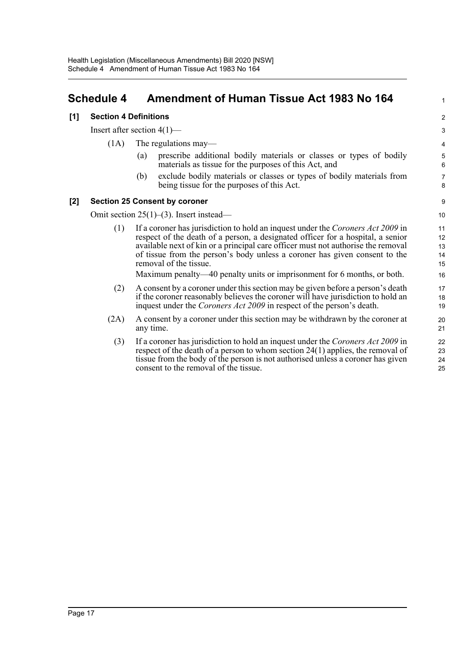## <span id="page-23-0"></span>**Schedule 4 Amendment of Human Tissue Act 1983 No 164**

#### **[1] Section 4 Definitions**

Insert after section 4(1)—

- (1A) The regulations may—
	- (a) prescribe additional bodily materials or classes or types of bodily materials as tissue for the purposes of this Act, and

1

(b) exclude bodily materials or classes or types of bodily materials from being tissue for the purposes of this Act.

#### **[2] Section 25 Consent by coroner**

Omit section 25(1)–(3). Insert instead—

- (1) If a coroner has jurisdiction to hold an inquest under the *Coroners Act 2009* in respect of the death of a person, a designated officer for a hospital, a senior available next of kin or a principal care officer must not authorise the removal of tissue from the person's body unless a coroner has given consent to the removal of the tissue. Maximum penalty—40 penalty units or imprisonment for 6 months, or both.
- (2) A consent by a coroner under this section may be given before a person's death if the coroner reasonably believes the coroner will have jurisdiction to hold an inquest under the *Coroners Act 2009* in respect of the person's death.
- (2A) A consent by a coroner under this section may be withdrawn by the coroner at any time.
	- (3) If a coroner has jurisdiction to hold an inquest under the *Coroners Act 2009* in respect of the death of a person to whom section 24(1) applies, the removal of tissue from the body of the person is not authorised unless a coroner has given consent to the removal of the tissue.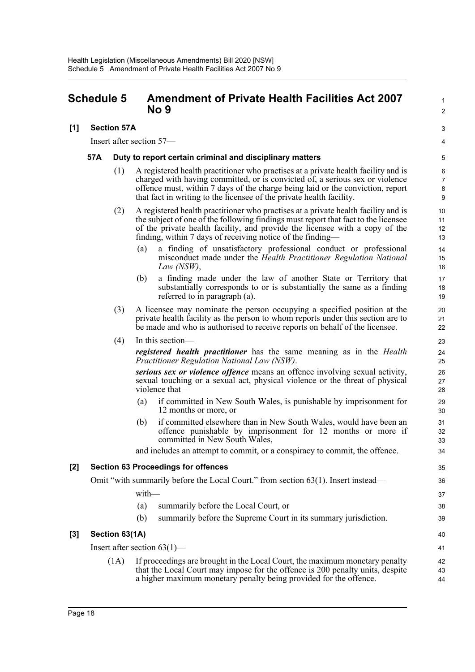## <span id="page-24-0"></span>**Schedule 5 Amendment of Private Health Facilities Act 2007 No 9**

#### **[1] Section 57A**

Insert after section 57—

#### **57A Duty to report certain criminal and disciplinary matters**

(1) A registered health practitioner who practises at a private health facility and is charged with having committed, or is convicted of, a serious sex or violence offence must, within 7 days of the charge being laid or the conviction, report that fact in writing to the licensee of the private health facility.

1  $\mathcal{L}$ 

3 4

40

- (2) A registered health practitioner who practises at a private health facility and is the subject of one of the following findings must report that fact to the licensee of the private health facility, and provide the licensee with a copy of the finding, within 7 days of receiving notice of the finding—
	- (a) a finding of unsatisfactory professional conduct or professional misconduct made under the *Health Practitioner Regulation National Law (NSW)*,
	- (b) a finding made under the law of another State or Territory that substantially corresponds to or is substantially the same as a finding referred to in paragraph (a).
- (3) A licensee may nominate the person occupying a specified position at the private health facility as the person to whom reports under this section are to be made and who is authorised to receive reports on behalf of the licensee.

#### (4) In this section—

*registered health practitioner* has the same meaning as in the *Health Practitioner Regulation National Law (NSW)*.

*serious sex or violence offence* means an offence involving sexual activity, sexual touching or a sexual act, physical violence or the threat of physical violence that—

- (a) if committed in New South Wales, is punishable by imprisonment for 12 months or more, or
- (b) if committed elsewhere than in New South Wales, would have been an offence punishable by imprisonment for 12 months or more if committed in New South Wales,

and includes an attempt to commit, or a conspiracy to commit, the offence.

#### **[2] Section 63 Proceedings for offences**

Omit "with summarily before the Local Court." from section 63(1). Insert instead—

with—

- (a) summarily before the Local Court, or
- (b) summarily before the Supreme Court in its summary jurisdiction.

#### **[3] Section 63(1A)**

Insert after section 63(1)— (1A) If proceedings are brought in the Local Court, the maximum monetary penalty that the Local Court may impose for the offence is 200 penalty units, despite a higher maximum monetary penalty being provided for the offence. 41 42 43 44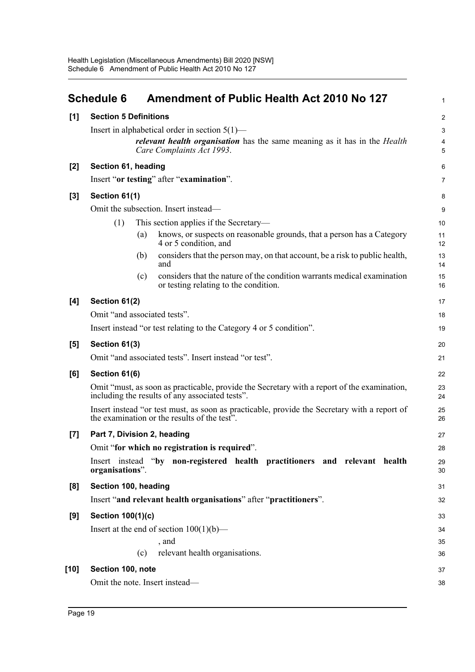<span id="page-25-0"></span>

|        | <b>Schedule 6</b>            |     | <b>Amendment of Public Health Act 2010 No 127</b>                                                                                                         | $\mathbf{1}$     |
|--------|------------------------------|-----|-----------------------------------------------------------------------------------------------------------------------------------------------------------|------------------|
| [1]    | <b>Section 5 Definitions</b> |     |                                                                                                                                                           | $\boldsymbol{2}$ |
|        |                              |     | Insert in alphabetical order in section $5(1)$ —                                                                                                          | $\sqrt{3}$       |
|        |                              |     | <i>relevant health organisation</i> has the same meaning as it has in the <i>Health</i><br>Care Complaints Act 1993.                                      | 4<br>5           |
| $[2]$  | Section 61, heading          |     |                                                                                                                                                           | 6                |
|        |                              |     | Insert "or testing" after "examination".                                                                                                                  | 7                |
| $[3]$  | Section 61(1)                |     |                                                                                                                                                           | 8                |
|        |                              |     | Omit the subsection. Insert instead—                                                                                                                      | 9                |
|        | (1)                          |     | This section applies if the Secretary-                                                                                                                    | 10               |
|        |                              | (a) | knows, or suspects on reasonable grounds, that a person has a Category<br>4 or 5 condition, and                                                           | 11<br>12         |
|        |                              | (b) | considers that the person may, on that account, be a risk to public health,<br>and                                                                        | 13<br>14         |
|        |                              | (c) | considers that the nature of the condition warrants medical examination<br>or testing relating to the condition.                                          | 15<br>16         |
| [4]    | Section 61(2)                |     |                                                                                                                                                           | 17               |
|        | Omit "and associated tests". |     |                                                                                                                                                           | 18               |
|        |                              |     | Insert instead "or test relating to the Category 4 or 5 condition".                                                                                       | 19               |
| [5]    | Section 61(3)                |     |                                                                                                                                                           | 20               |
|        |                              |     | Omit "and associated tests". Insert instead "or test".                                                                                                    | 21               |
| [6]    | Section 61(6)                |     |                                                                                                                                                           | 22               |
|        |                              |     | Omit "must, as soon as practicable, provide the Secretary with a report of the examination,<br>including the results of any associated tests".            | 23<br>24         |
|        |                              |     | Insert instead "or test must, as soon as practicable, provide the Secretary with a report of<br>the examination or the results of the test <sup>3</sup> . | 25<br>26         |
| $[7]$  | Part 7, Division 2, heading  |     |                                                                                                                                                           | 27               |
|        |                              |     | Omit "for which no registration is required".                                                                                                             | 28               |
|        | organisations".              |     | Insert instead "by non-registered health practitioners and relevant health                                                                                | 29<br>30         |
| [8]    | Section 100, heading         |     |                                                                                                                                                           | 31               |
|        |                              |     | Insert "and relevant health organisations" after "practitioners".                                                                                         | 32               |
| [9]    | Section 100(1)(c)            |     |                                                                                                                                                           | 33               |
|        |                              |     | Insert at the end of section $100(1)(b)$ —                                                                                                                | 34               |
|        |                              |     | , and                                                                                                                                                     | 35               |
|        |                              | (c) | relevant health organisations.                                                                                                                            | 36               |
| $[10]$ | Section 100, note            |     |                                                                                                                                                           | 37               |
|        |                              |     | Omit the note. Insert instead-                                                                                                                            | 38               |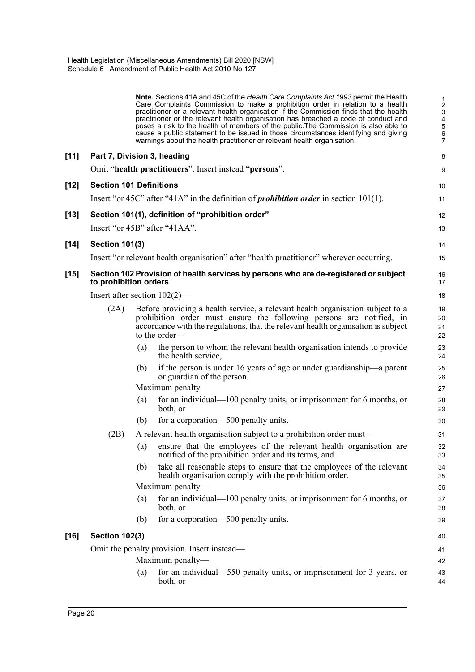|        |                                 |     | Note. Sections 41A and 45C of the Health Care Complaints Act 1993 permit the Health<br>Care Complaints Commission to make a prohibition order in relation to a health<br>practitioner or a relevant health organisation if the Commission finds that the health<br>practitioner or the relevant health organisation has breached a code of conduct and<br>poses a risk to the health of members of the public. The Commission is also able to<br>cause a public statement to be issued in those circumstances identifying and giving<br>warnings about the health practitioner or relevant health organisation. | $\frac{1}{2}$<br>$\ensuremath{\mathsf{3}}$<br>$\overline{\mathbf{4}}$<br>5<br>$\,6$<br>$\overline{7}$ |
|--------|---------------------------------|-----|-----------------------------------------------------------------------------------------------------------------------------------------------------------------------------------------------------------------------------------------------------------------------------------------------------------------------------------------------------------------------------------------------------------------------------------------------------------------------------------------------------------------------------------------------------------------------------------------------------------------|-------------------------------------------------------------------------------------------------------|
| $[11]$ | Part 7, Division 3, heading     |     |                                                                                                                                                                                                                                                                                                                                                                                                                                                                                                                                                                                                                 | 8                                                                                                     |
|        |                                 |     | Omit "health practitioners". Insert instead "persons".                                                                                                                                                                                                                                                                                                                                                                                                                                                                                                                                                          | $\boldsymbol{9}$                                                                                      |
| $[12]$ | <b>Section 101 Definitions</b>  |     |                                                                                                                                                                                                                                                                                                                                                                                                                                                                                                                                                                                                                 | 10                                                                                                    |
|        |                                 |     | Insert "or 45C" after "41A" in the definition of <i>prohibition order</i> in section 101(1).                                                                                                                                                                                                                                                                                                                                                                                                                                                                                                                    | 11                                                                                                    |
| $[13]$ |                                 |     | Section 101(1), definition of "prohibition order"                                                                                                                                                                                                                                                                                                                                                                                                                                                                                                                                                               | 12                                                                                                    |
|        |                                 |     | Insert "or 45B" after "41AA".                                                                                                                                                                                                                                                                                                                                                                                                                                                                                                                                                                                   | 13                                                                                                    |
| $[14]$ | <b>Section 101(3)</b>           |     |                                                                                                                                                                                                                                                                                                                                                                                                                                                                                                                                                                                                                 | 14                                                                                                    |
|        |                                 |     | Insert "or relevant health organisation" after "health practitioner" wherever occurring.                                                                                                                                                                                                                                                                                                                                                                                                                                                                                                                        | 15                                                                                                    |
| $[15]$ | to prohibition orders           |     | Section 102 Provision of health services by persons who are de-registered or subject                                                                                                                                                                                                                                                                                                                                                                                                                                                                                                                            | 16<br>17                                                                                              |
|        | Insert after section $102(2)$ — |     |                                                                                                                                                                                                                                                                                                                                                                                                                                                                                                                                                                                                                 | 18                                                                                                    |
|        | (2A)                            |     | Before providing a health service, a relevant health organisation subject to a<br>prohibition order must ensure the following persons are notified, in<br>accordance with the regulations, that the relevant health organisation is subject<br>to the order—                                                                                                                                                                                                                                                                                                                                                    | 19<br>20<br>21<br>22                                                                                  |
|        |                                 | (a) | the person to whom the relevant health organisation intends to provide<br>the health service,                                                                                                                                                                                                                                                                                                                                                                                                                                                                                                                   | 23<br>24                                                                                              |
|        |                                 | (b) | if the person is under 16 years of age or under guardianship—a parent<br>or guardian of the person.                                                                                                                                                                                                                                                                                                                                                                                                                                                                                                             | 25<br>26                                                                                              |
|        |                                 |     | Maximum penalty—                                                                                                                                                                                                                                                                                                                                                                                                                                                                                                                                                                                                | 27                                                                                                    |
|        |                                 | (a) | for an individual—100 penalty units, or imprisonment for 6 months, or<br>both, or                                                                                                                                                                                                                                                                                                                                                                                                                                                                                                                               | 28<br>29                                                                                              |
|        |                                 | (b) | for a corporation—500 penalty units.                                                                                                                                                                                                                                                                                                                                                                                                                                                                                                                                                                            | 30                                                                                                    |
|        | (2B)                            |     | A relevant health organisation subject to a prohibition order must—                                                                                                                                                                                                                                                                                                                                                                                                                                                                                                                                             | 31                                                                                                    |
|        |                                 | (a) | ensure that the employees of the relevant health organisation are<br>notified of the prohibition order and its terms, and                                                                                                                                                                                                                                                                                                                                                                                                                                                                                       | 32<br>33                                                                                              |
|        |                                 | (b) | take all reasonable steps to ensure that the employees of the relevant<br>health organisation comply with the prohibition order.                                                                                                                                                                                                                                                                                                                                                                                                                                                                                | 34<br>35                                                                                              |
|        |                                 |     | Maximum penalty-                                                                                                                                                                                                                                                                                                                                                                                                                                                                                                                                                                                                | 36                                                                                                    |
|        |                                 | (a) | for an individual— $100$ penalty units, or imprisonment for 6 months, or<br>both, or                                                                                                                                                                                                                                                                                                                                                                                                                                                                                                                            | 37<br>38                                                                                              |
|        |                                 | (b) | for a corporation—500 penalty units.                                                                                                                                                                                                                                                                                                                                                                                                                                                                                                                                                                            | 39                                                                                                    |
| $[16]$ | <b>Section 102(3)</b>           |     |                                                                                                                                                                                                                                                                                                                                                                                                                                                                                                                                                                                                                 | 40                                                                                                    |
|        |                                 |     | Omit the penalty provision. Insert instead—                                                                                                                                                                                                                                                                                                                                                                                                                                                                                                                                                                     | 41                                                                                                    |
|        |                                 |     | Maximum penalty—                                                                                                                                                                                                                                                                                                                                                                                                                                                                                                                                                                                                | 42                                                                                                    |
|        |                                 | (a) | for an individual—550 penalty units, or imprisonment for 3 years, or<br>both, or                                                                                                                                                                                                                                                                                                                                                                                                                                                                                                                                | 43<br>44                                                                                              |
|        |                                 |     |                                                                                                                                                                                                                                                                                                                                                                                                                                                                                                                                                                                                                 |                                                                                                       |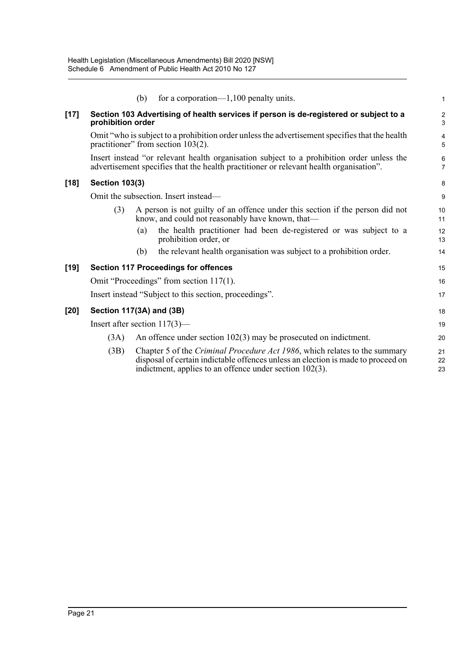|        |                                                                                                                                                                                     | (b) | for a corporation— $1,100$ penalty units.                                                                                                                                                                                    | 1              |  |
|--------|-------------------------------------------------------------------------------------------------------------------------------------------------------------------------------------|-----|------------------------------------------------------------------------------------------------------------------------------------------------------------------------------------------------------------------------------|----------------|--|
| $[17]$ | Section 103 Advertising of health services if person is de-registered or subject to a<br>prohibition order                                                                          |     |                                                                                                                                                                                                                              |                |  |
|        |                                                                                                                                                                                     |     | Omit "who is subject to a prohibition order unless the advertisement specifies that the health<br>practitioner" from section $103(2)$ .                                                                                      | 4<br>5         |  |
|        | Insert instead "or relevant health organisation subject to a prohibition order unless the<br>advertisement specifies that the health practitioner or relevant health organisation". |     |                                                                                                                                                                                                                              |                |  |
| $[18]$ | <b>Section 103(3)</b>                                                                                                                                                               |     |                                                                                                                                                                                                                              | 8              |  |
|        |                                                                                                                                                                                     |     | Omit the subsection. Insert instead—                                                                                                                                                                                         | 9              |  |
|        | (3)                                                                                                                                                                                 |     | A person is not guilty of an offence under this section if the person did not<br>know, and could not reasonably have known, that—                                                                                            | 10<br>11       |  |
|        |                                                                                                                                                                                     | (a) | the health practitioner had been de-registered or was subject to a<br>prohibition order, or                                                                                                                                  | 12<br>13       |  |
|        |                                                                                                                                                                                     | (b) | the relevant health organisation was subject to a prohibition order.                                                                                                                                                         | 14             |  |
| $[19]$ | <b>Section 117 Proceedings for offences</b>                                                                                                                                         |     |                                                                                                                                                                                                                              |                |  |
|        | Omit "Proceedings" from section 117(1).                                                                                                                                             |     |                                                                                                                                                                                                                              |                |  |
|        | Insert instead "Subject to this section, proceedings".                                                                                                                              |     |                                                                                                                                                                                                                              |                |  |
| $[20]$ | Section 117(3A) and (3B)                                                                                                                                                            |     |                                                                                                                                                                                                                              |                |  |
|        | Insert after section $117(3)$ —                                                                                                                                                     |     |                                                                                                                                                                                                                              |                |  |
|        | (3A)                                                                                                                                                                                |     | An offence under section $102(3)$ may be prosecuted on indictment.                                                                                                                                                           | 20             |  |
|        | (3B)                                                                                                                                                                                |     | Chapter 5 of the Criminal Procedure Act 1986, which relates to the summary<br>disposal of certain indictable offences unless an election is made to proceed on<br>indictment, applies to an offence under section $102(3)$ . | 21<br>22<br>23 |  |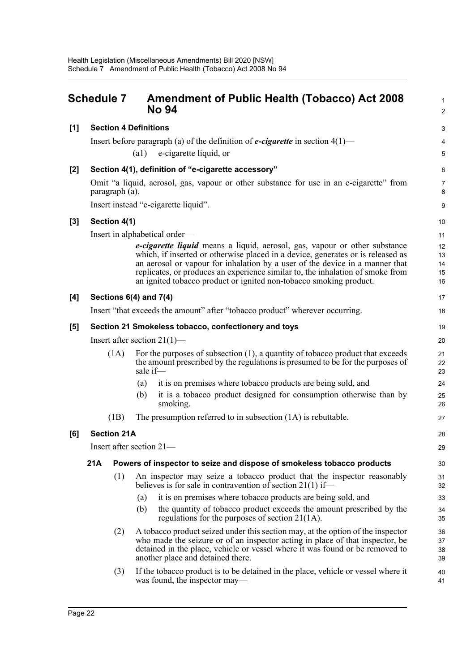<span id="page-28-0"></span>

|     | <b>Schedule 7</b>                                                             |                              |          | <b>Amendment of Public Health (Tobacco) Act 2008</b><br><b>No 94</b>                                                                                                                                                                                                                                                                                                                                  | $\mathbf{1}$<br>$\overline{2}$ |  |
|-----|-------------------------------------------------------------------------------|------------------------------|----------|-------------------------------------------------------------------------------------------------------------------------------------------------------------------------------------------------------------------------------------------------------------------------------------------------------------------------------------------------------------------------------------------------------|--------------------------------|--|
| [1] |                                                                               | <b>Section 4 Definitions</b> |          |                                                                                                                                                                                                                                                                                                                                                                                                       | 3                              |  |
|     |                                                                               |                              |          | Insert before paragraph (a) of the definition of <b><i>e-cigarette</i></b> in section $4(1)$ —                                                                                                                                                                                                                                                                                                        | 4                              |  |
|     |                                                                               |                              | (a1)     | e-cigarette liquid, or                                                                                                                                                                                                                                                                                                                                                                                | 5                              |  |
| [2] |                                                                               |                              |          | Section 4(1), definition of "e-cigarette accessory"                                                                                                                                                                                                                                                                                                                                                   | 6                              |  |
|     |                                                                               | paragraph (a).               |          | Omit "a liquid, aerosol, gas, vapour or other substance for use in an e-cigarette" from                                                                                                                                                                                                                                                                                                               | $\overline{7}$<br>8            |  |
|     |                                                                               |                              |          | Insert instead "e-cigarette liquid".                                                                                                                                                                                                                                                                                                                                                                  | 9                              |  |
| [3] |                                                                               | Section 4(1)                 |          |                                                                                                                                                                                                                                                                                                                                                                                                       | 10                             |  |
|     |                                                                               |                              |          | Insert in alphabetical order—                                                                                                                                                                                                                                                                                                                                                                         | 11                             |  |
|     |                                                                               |                              |          | e-cigarette liquid means a liquid, aerosol, gas, vapour or other substance<br>which, if inserted or otherwise placed in a device, generates or is released as<br>an aerosol or vapour for inhalation by a user of the device in a manner that<br>replicates, or produces an experience similar to, the inhalation of smoke from<br>an ignited tobacco product or ignited non-tobacco smoking product. | 12<br>13<br>14<br>15<br>16     |  |
| [4] |                                                                               | Sections $6(4)$ and $7(4)$   |          |                                                                                                                                                                                                                                                                                                                                                                                                       | 17                             |  |
|     | Insert "that exceeds the amount" after "tobacco product" wherever occurring.  |                              |          |                                                                                                                                                                                                                                                                                                                                                                                                       |                                |  |
| [5] | Section 21 Smokeless tobacco, confectionery and toys                          |                              |          |                                                                                                                                                                                                                                                                                                                                                                                                       |                                |  |
|     | Insert after section $21(1)$ —                                                |                              |          |                                                                                                                                                                                                                                                                                                                                                                                                       |                                |  |
|     | (1A)                                                                          |                              | sale if- | For the purposes of subsection $(1)$ , a quantity of tobacco product that exceeds<br>the amount prescribed by the regulations is presumed to be for the purposes of                                                                                                                                                                                                                                   | 21<br>22<br>23                 |  |
|     |                                                                               |                              | (a)      | it is on premises where tobacco products are being sold, and                                                                                                                                                                                                                                                                                                                                          | 24                             |  |
|     |                                                                               |                              | (b)      | it is a tobacco product designed for consumption otherwise than by<br>smoking.                                                                                                                                                                                                                                                                                                                        | 25<br>26                       |  |
|     |                                                                               | (1B)                         |          | The presumption referred to in subsection $(1A)$ is rebuttable.                                                                                                                                                                                                                                                                                                                                       | 27                             |  |
| [6] | <b>Section 21A</b>                                                            |                              |          |                                                                                                                                                                                                                                                                                                                                                                                                       | 28                             |  |
|     | Insert after section $21-$                                                    |                              |          |                                                                                                                                                                                                                                                                                                                                                                                                       | 29                             |  |
|     | 21A<br>Powers of inspector to seize and dispose of smokeless tobacco products |                              |          |                                                                                                                                                                                                                                                                                                                                                                                                       |                                |  |
|     |                                                                               | (1)                          |          | An inspector may seize a tobacco product that the inspector reasonably<br>believes is for sale in contravention of section $21(1)$ if—                                                                                                                                                                                                                                                                | 31<br>32                       |  |
|     |                                                                               |                              | (a)      | it is on premises where tobacco products are being sold, and                                                                                                                                                                                                                                                                                                                                          | 33                             |  |
|     |                                                                               |                              | (b)      | the quantity of tobacco product exceeds the amount prescribed by the<br>regulations for the purposes of section $21(1)$ .                                                                                                                                                                                                                                                                             | 34<br>35                       |  |
|     |                                                                               | (2)                          |          | A tobacco product seized under this section may, at the option of the inspector<br>who made the seizure or of an inspector acting in place of that inspector, be<br>detained in the place, vehicle or vessel where it was found or be removed to<br>another place and detained there.                                                                                                                 | 36<br>37<br>38<br>39           |  |
|     |                                                                               | (3)                          |          | If the tobacco product is to be detained in the place, vehicle or vessel where it<br>was found, the inspector may—                                                                                                                                                                                                                                                                                    | 40<br>41                       |  |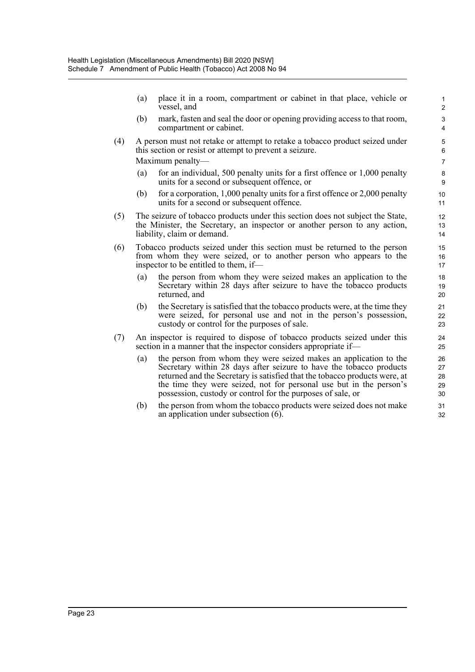(a) place it in a room, compartment or cabinet in that place, vehicle or vessel, and

- (b) mark, fasten and seal the door or opening providing access to that room, compartment or cabinet.
- (4) A person must not retake or attempt to retake a tobacco product seized under this section or resist or attempt to prevent a seizure. Maximum penalty—
	- (a) for an individual, 500 penalty units for a first offence or 1,000 penalty units for a second or subsequent offence, or
	- (b) for a corporation,  $1,000$  penalty units for a first offence or  $2,000$  penalty units for a second or subsequent offence.
- (5) The seizure of tobacco products under this section does not subject the State, the Minister, the Secretary, an inspector or another person to any action, liability, claim or demand.
- (6) Tobacco products seized under this section must be returned to the person from whom they were seized, or to another person who appears to the inspector to be entitled to them, if—
	- (a) the person from whom they were seized makes an application to the Secretary within 28 days after seizure to have the tobacco products returned, and
	- (b) the Secretary is satisfied that the tobacco products were, at the time they were seized, for personal use and not in the person's possession, custody or control for the purposes of sale.
- (7) An inspector is required to dispose of tobacco products seized under this section in a manner that the inspector considers appropriate if—
	- (a) the person from whom they were seized makes an application to the Secretary within 28 days after seizure to have the tobacco products returned and the Secretary is satisfied that the tobacco products were, at the time they were seized, not for personal use but in the person's possession, custody or control for the purposes of sale, or
	- (b) the person from whom the tobacco products were seized does not make an application under subsection (6).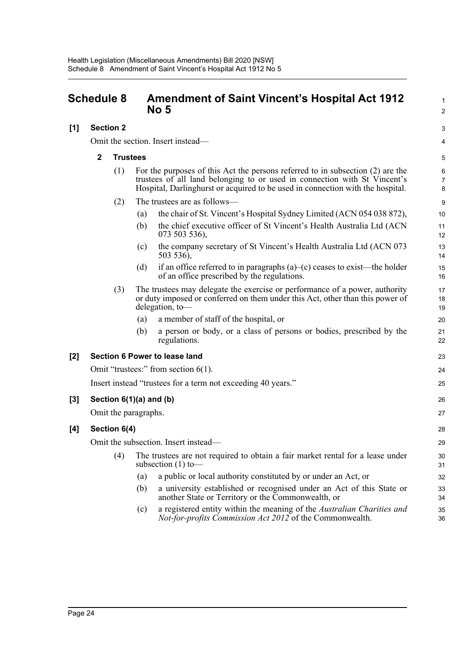## <span id="page-30-0"></span>**Schedule 8 Amendment of Saint Vincent's Hospital Act 1912 No 5**

#### **[1] Section 2**

Omit the section. Insert instead—

#### **2 Trustees**

| (1) | For the purposes of this Act the persons referred to in subsection $(2)$ are the |
|-----|----------------------------------------------------------------------------------|
|     | trustees of all land belonging to or used in connection with St Vincent's        |
|     | Hospital, Darlinghurst or acquired to be used in connection with the hospital.   |

- (2) The trustees are as follows—
	- (a) the chair of St. Vincent's Hospital Sydney Limited (ACN 054 038 872),
	- (b) the chief executive officer of St Vincent's Health Australia Ltd (ACN 073 503 536),

1  $\overline{2}$ 

3 4

- (c) the company secretary of St Vincent's Health Australia Ltd (ACN 073 503 536),
- (d) if an office referred to in paragraphs  $(a)$ –(c) ceases to exist—the holder of an office prescribed by the regulations.
- (3) The trustees may delegate the exercise or performance of a power, authority or duty imposed or conferred on them under this Act, other than this power of delegation, to—
	- (a) a member of staff of the hospital, or
	- (b) a person or body, or a class of persons or bodies, prescribed by the regulations.

#### **[2] Section 6 Power to lease land**

Omit "trustees:" from section 6(1).

Insert instead "trustees for a term not exceeding 40 years."

#### **[3] Section 6(1)(a) and (b)**

Omit the paragraphs.

#### **[4] Section 6(4)**

Omit the subsection. Insert instead—

- (4) The trustees are not required to obtain a fair market rental for a lease under subsection  $(1)$  to-
	- (a) a public or local authority constituted by or under an Act, or
	- (b) a university established or recognised under an Act of this State or another State or Territory or the Commonwealth, or
	- (c) a registered entity within the meaning of the *Australian Charities and Not-for-profits Commission Act 2012* of the Commonwealth.